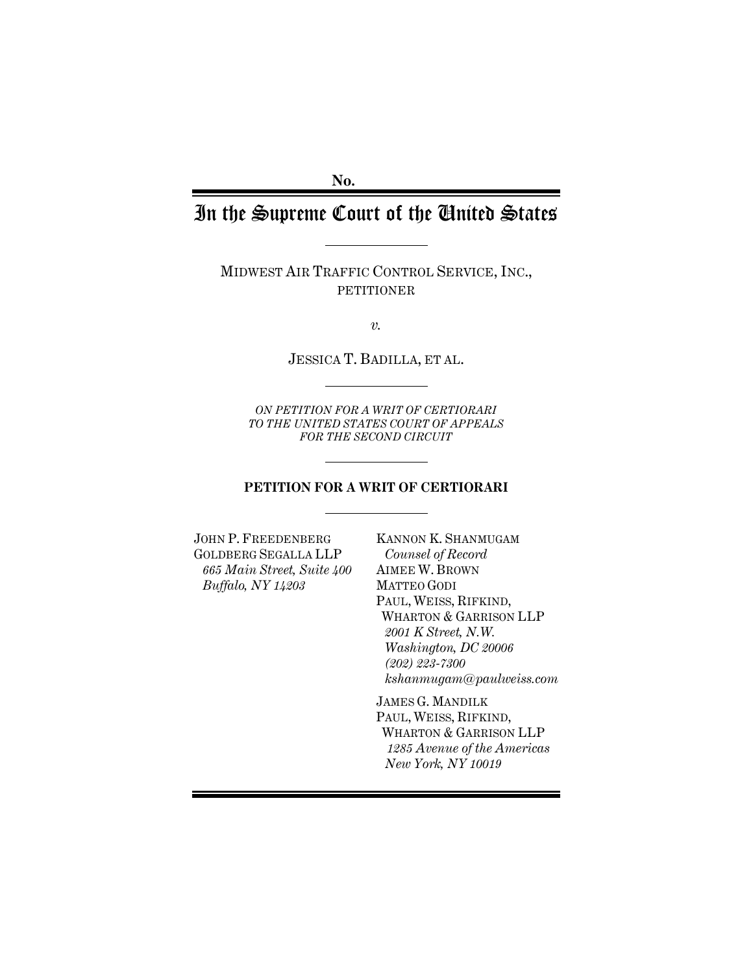**No.**

# In the Supreme Court of the United States

MIDWEST AIR TRAFFIC CONTROL SERVICE, INC., PETITIONER

*v.*

JESSICA T. BADILLA, ET AL.

*ON PETITION FOR A WRIT OF CERTIORARI TO THE UNITED STATES COURT OF APPEALS FOR THE SECOND CIRCUIT*

#### **PETITION FOR A WRIT OF CERTIORARI**

JOHN P. FREEDENBERG GOLDBERG SEGALLA LLP *665 Main Street, Suite 400 Buffalo, NY 14203*

KANNON K. SHANMUGAM *Counsel of Record* AIMEE W. BROWN MATTEO GODI PAUL, WEISS, RIFKIND, WHARTON & GARRISON LLP *2001 K Street, N.W. Washington, DC 20006 (202) 223-7300 kshanmugam@paulweiss.com*

JAMES G. MANDILK PAUL, WEISS, RIFKIND, WHARTON & GARRISON LLP *1285 Avenue of the Americas New York, NY 10019*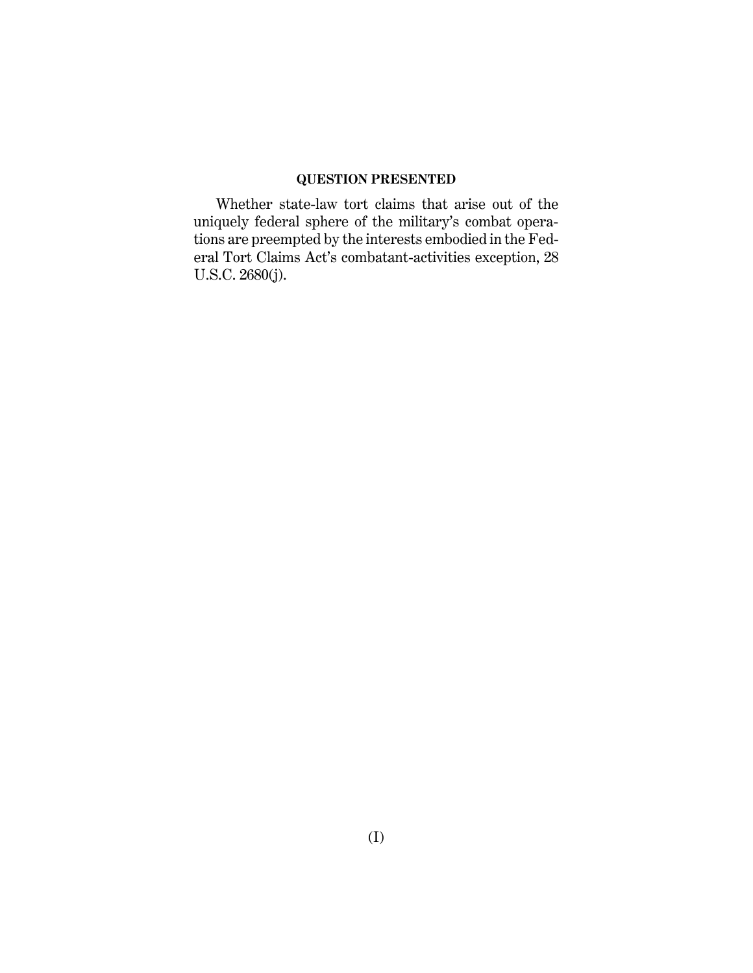# **QUESTION PRESENTED**

Whether state-law tort claims that arise out of the uniquely federal sphere of the military's combat operations are preempted by the interests embodied in the Federal Tort Claims Act's combatant-activities exception, 28 U.S.C. 2680(j).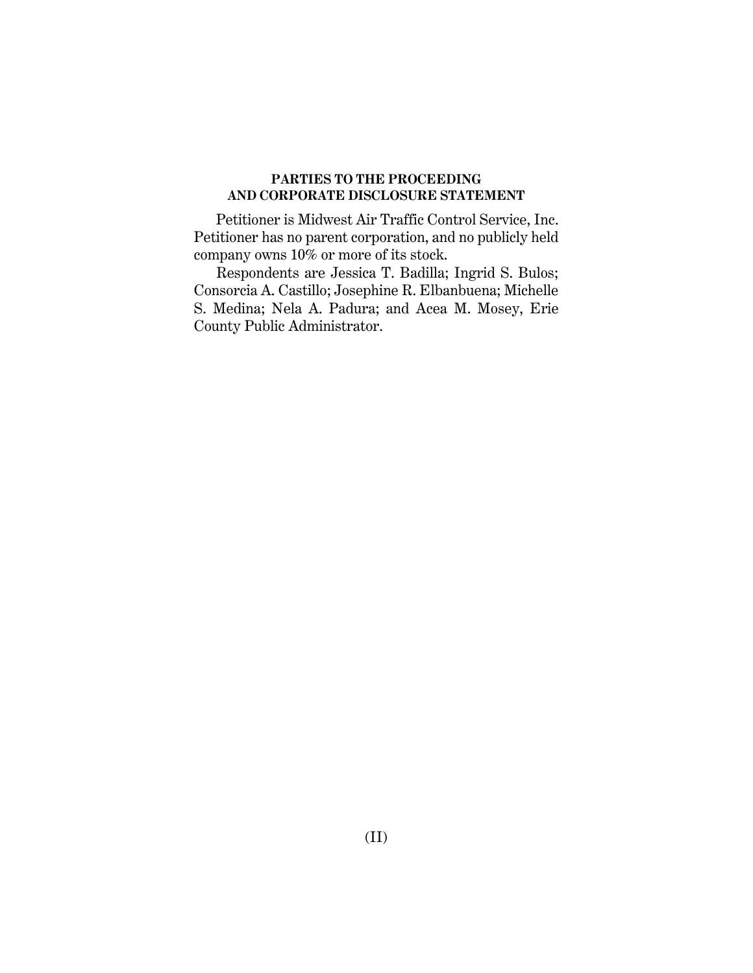## **PARTIES TO THE PROCEEDING AND CORPORATE DISCLOSURE STATEMENT**

Petitioner is Midwest Air Traffic Control Service, Inc. Petitioner has no parent corporation, and no publicly held company owns 10% or more of its stock.

Respondents are Jessica T. Badilla; Ingrid S. Bulos; Consorcia A. Castillo; Josephine R. Elbanbuena; Michelle S. Medina; Nela A. Padura; and Acea M. Mosey, Erie County Public Administrator.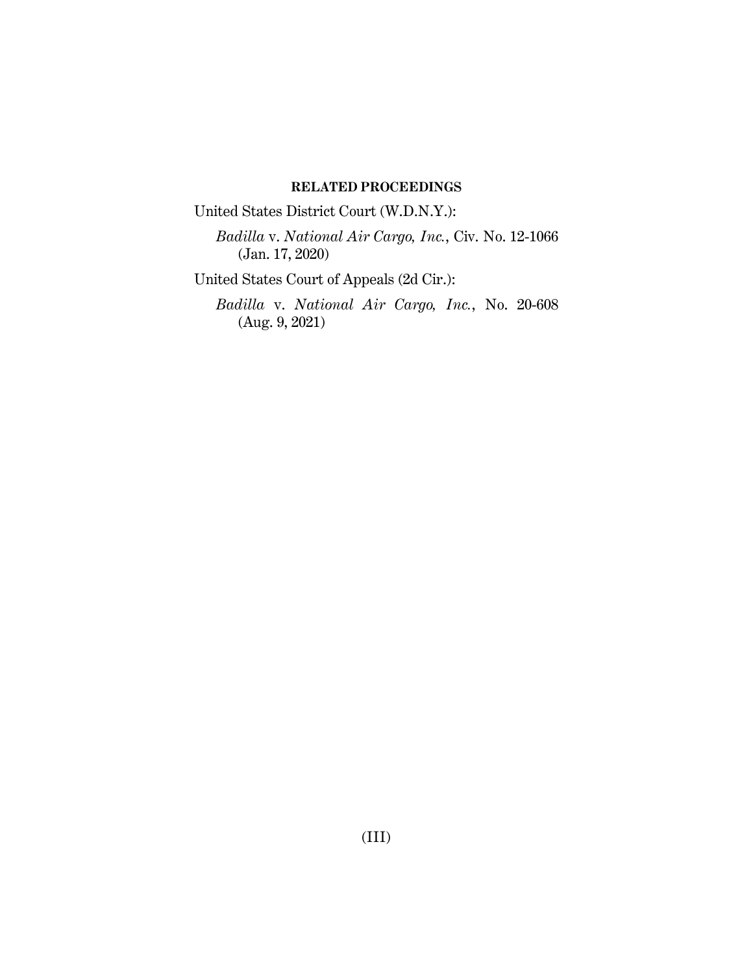## **RELATED PROCEEDINGS**

United States District Court (W.D.N.Y.):

*Badilla* v. *National Air Cargo, Inc.*, Civ. No. 12-1066 (Jan. 17, 2020)

United States Court of Appeals (2d Cir.):

*Badilla* v. *National Air Cargo, Inc.*, No. 20-608 (Aug. 9, 2021)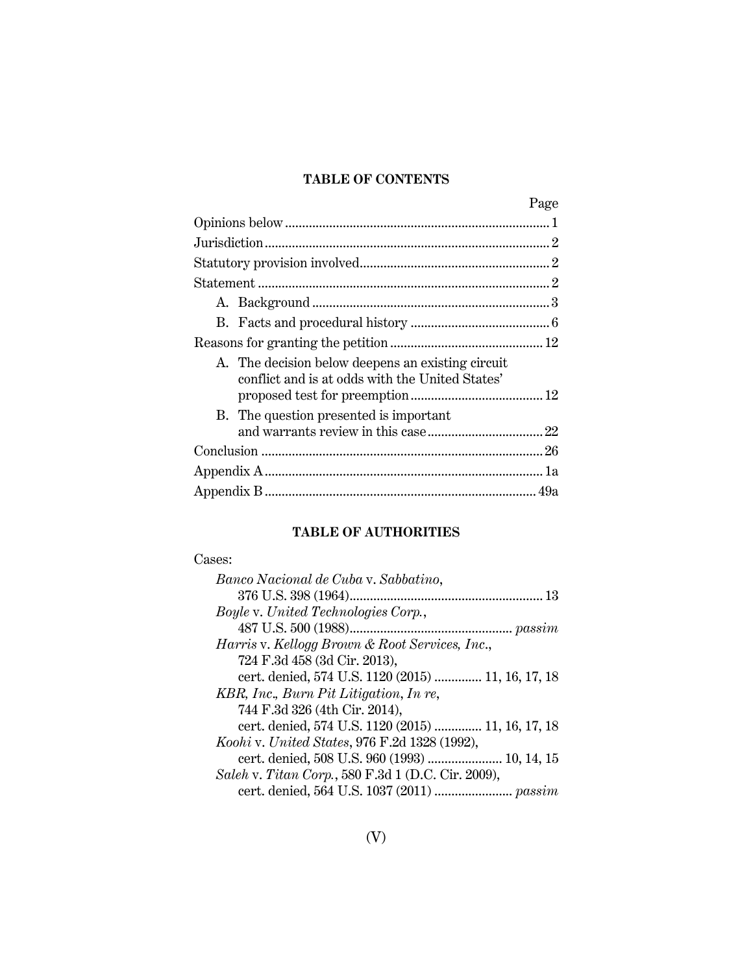# **TABLE OF CONTENTS**

|                                                                                                      | Page |
|------------------------------------------------------------------------------------------------------|------|
|                                                                                                      |      |
|                                                                                                      |      |
|                                                                                                      |      |
|                                                                                                      |      |
|                                                                                                      |      |
|                                                                                                      |      |
|                                                                                                      |      |
| A. The decision below deepens an existing circuit<br>conflict and is at odds with the United States' |      |
| B. The question presented is important                                                               |      |
|                                                                                                      |      |
|                                                                                                      |      |
|                                                                                                      |      |

# **TABLE OF AUTHORITIES**

#### Cases:

| Banco Nacional de Cuba v. Sabbatino,                      |
|-----------------------------------------------------------|
|                                                           |
| <i>Boyle v. United Technologies Corp.,</i>                |
|                                                           |
| <i>Harris v. Kellogg Brown &amp; Root Services, Inc.,</i> |
| 724 F.3d 458 (3d Cir. 2013),                              |
| cert. denied, 574 U.S. 1120 (2015)  11, 16, 17, 18        |
| KBR, Inc., Burn Pit Litigation, In re,                    |
| 744 F.3d 326 (4th Cir. 2014),                             |
| cert. denied, 574 U.S. 1120 (2015)  11, 16, 17, 18        |
| Koohi v. United States, 976 F.2d 1328 (1992),             |
| cert. denied, 508 U.S. 960 (1993)  10, 14, 15             |
| Saleh v. Titan Corp., 580 F.3d 1 (D.C. Cir. 2009),        |
|                                                           |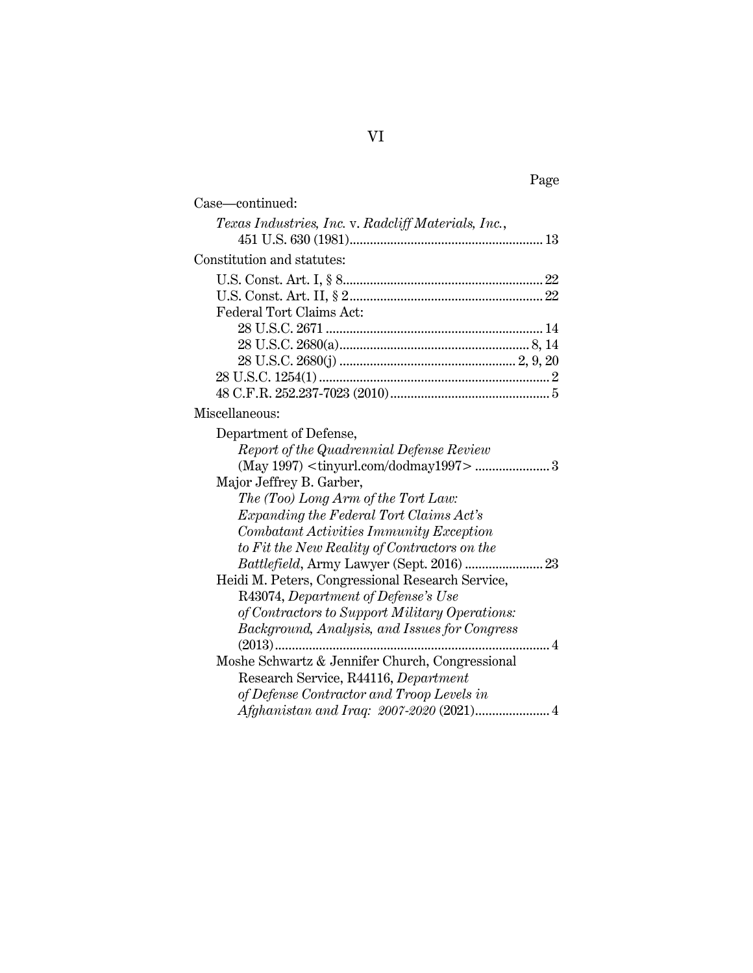| Case—continued:                                         |  |
|---------------------------------------------------------|--|
| Texas Industries, Inc. v. Radcliff Materials, Inc.,     |  |
|                                                         |  |
| Constitution and statutes:                              |  |
|                                                         |  |
|                                                         |  |
| Federal Tort Claims Act:                                |  |
|                                                         |  |
|                                                         |  |
|                                                         |  |
|                                                         |  |
|                                                         |  |
| Miscellaneous:                                          |  |
| Department of Defense,                                  |  |
| Report of the Quadrennial Defense Review                |  |
| (May 1997) <tinyurl.com dodmay1997="">  3</tinyurl.com> |  |
| Major Jeffrey B. Garber,                                |  |
| The (Too) Long Arm of the Tort Law:                     |  |
| Expanding the Federal Tort Claims Act's                 |  |
| Combatant Activities Immunity Exception                 |  |
| to Fit the New Reality of Contractors on the            |  |
| 23<br>Battlefield, Army Lawyer (Sept. 2016)             |  |
| Heidi M. Peters, Congressional Research Service,        |  |
| R43074, Department of Defense's Use                     |  |
| of Contractors to Support Military Operations:          |  |
| Background, Analysis, and Issues for Congress           |  |
| 4<br>$(2013)$                                           |  |
| Moshe Schwartz & Jennifer Church, Congressional         |  |
| Research Service, R44116, Department                    |  |
| of Defense Contractor and Troop Levels in               |  |
|                                                         |  |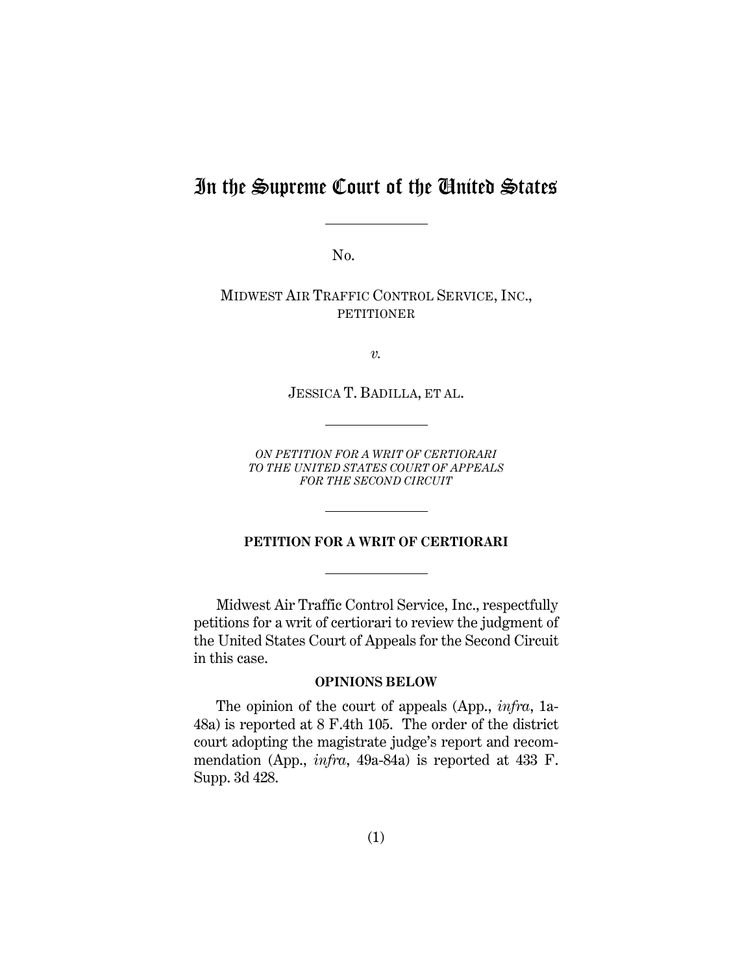# In the Supreme Court of the United States

No.

MIDWEST AIR TRAFFIC CONTROL SERVICE, INC., **PETITIONER** 

*v.*

JESSICA T. BADILLA, ET AL.

*ON PETITION FOR A WRIT OF CERTIORARI TO THE UNITED STATES COURT OF APPEALS FOR THE SECOND CIRCUIT*

## **PETITION FOR A WRIT OF CERTIORARI**

Midwest Air Traffic Control Service, Inc., respectfully petitions for a writ of certiorari to review the judgment of the United States Court of Appeals for the Second Circuit in this case.

#### **OPINIONS BELOW**

The opinion of the court of appeals (App., *infra*, 1a-48a) is reported at 8 F.4th 105. The order of the district court adopting the magistrate judge's report and recommendation (App., *infra*, 49a-84a) is reported at 433 F. Supp. 3d 428.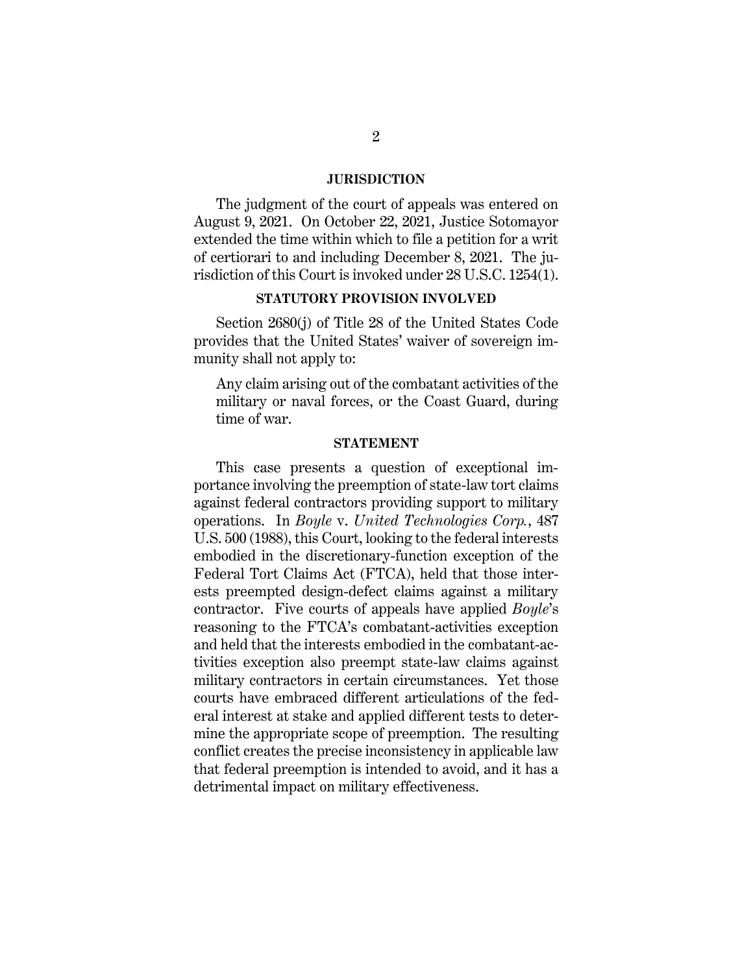#### **JURISDICTION**

The judgment of the court of appeals was entered on August 9, 2021. On October 22, 2021, Justice Sotomayor extended the time within which to file a petition for a writ of certiorari to and including December 8, 2021. The jurisdiction of this Court is invoked under 28 U.S.C. 1254(1).

#### **STATUTORY PROVISION INVOLVED**

Section 2680(j) of Title 28 of the United States Code provides that the United States' waiver of sovereign immunity shall not apply to:

Any claim arising out of the combatant activities of the military or naval forces, or the Coast Guard, during time of war.

#### **STATEMENT**

This case presents a question of exceptional importance involving the preemption of state-law tort claims against federal contractors providing support to military operations. In *Boyle* v. *United Technologies Corp.*, 487 U.S. 500 (1988), this Court, looking to the federal interests embodied in the discretionary-function exception of the Federal Tort Claims Act (FTCA), held that those interests preempted design-defect claims against a military contractor. Five courts of appeals have applied *Boyle*'s reasoning to the FTCA's combatant-activities exception and held that the interests embodied in the combatant-activities exception also preempt state-law claims against military contractors in certain circumstances. Yet those courts have embraced different articulations of the federal interest at stake and applied different tests to determine the appropriate scope of preemption. The resulting conflict creates the precise inconsistency in applicable law that federal preemption is intended to avoid, and it has a detrimental impact on military effectiveness.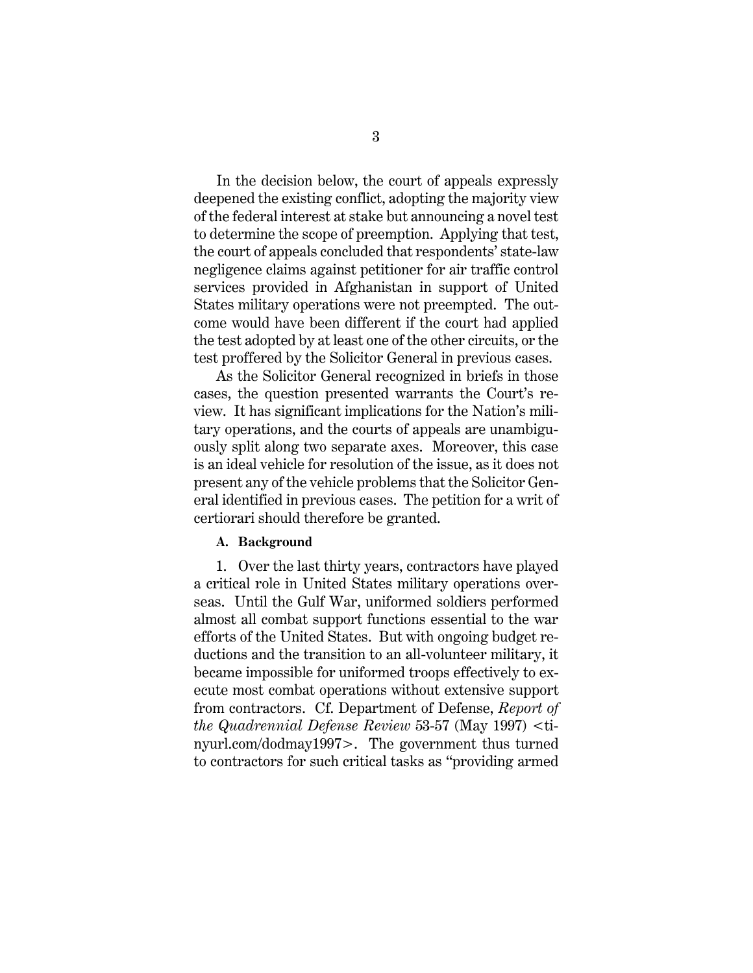In the decision below, the court of appeals expressly deepened the existing conflict, adopting the majority view of the federal interest at stake but announcing a novel test to determine the scope of preemption. Applying that test, the court of appeals concluded that respondents' state-law negligence claims against petitioner for air traffic control services provided in Afghanistan in support of United States military operations were not preempted. The outcome would have been different if the court had applied the test adopted by at least one of the other circuits, or the test proffered by the Solicitor General in previous cases.

As the Solicitor General recognized in briefs in those cases, the question presented warrants the Court's review. It has significant implications for the Nation's military operations, and the courts of appeals are unambiguously split along two separate axes. Moreover, this case is an ideal vehicle for resolution of the issue, as it does not present any of the vehicle problems that the Solicitor General identified in previous cases. The petition for a writ of certiorari should therefore be granted.

#### **A. Background**

1. Over the last thirty years, contractors have played a critical role in United States military operations overseas. Until the Gulf War, uniformed soldiers performed almost all combat support functions essential to the war efforts of the United States. But with ongoing budget reductions and the transition to an all-volunteer military, it became impossible for uniformed troops effectively to execute most combat operations without extensive support from contractors. Cf. Department of Defense, *Report of the Quadrennial Defense Review* 53-57 (May 1997) <tinyurl.com/dodmay1997>. The government thus turned to contractors for such critical tasks as "providing armed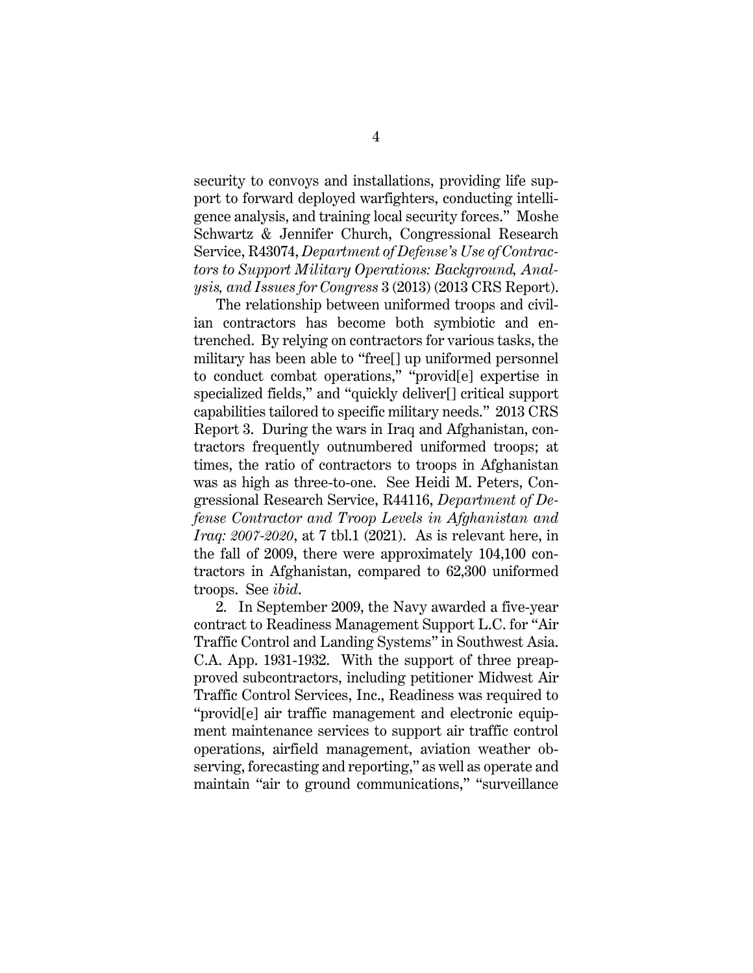security to convoys and installations, providing life support to forward deployed warfighters, conducting intelligence analysis, and training local security forces." Moshe Schwartz & Jennifer Church, Congressional Research Service, R43074, *Department of Defense's Use of Contractors to Support Military Operations: Background, Analysis, and Issues for Congress* 3 (2013) (2013 CRS Report).

The relationship between uniformed troops and civilian contractors has become both symbiotic and entrenched. By relying on contractors for various tasks, the military has been able to "free[] up uniformed personnel to conduct combat operations," "provid[e] expertise in specialized fields," and "quickly deliver[] critical support capabilities tailored to specific military needs." 2013 CRS Report 3. During the wars in Iraq and Afghanistan, contractors frequently outnumbered uniformed troops; at times, the ratio of contractors to troops in Afghanistan was as high as three-to-one. See Heidi M. Peters, Congressional Research Service, R44116, *Department of Defense Contractor and Troop Levels in Afghanistan and Iraq: 2007-2020*, at 7 tbl.1 (2021). As is relevant here, in the fall of 2009, there were approximately 104,100 contractors in Afghanistan, compared to 62,300 uniformed troops. See *ibid*.

2. In September 2009, the Navy awarded a five-year contract to Readiness Management Support L.C. for "Air Traffic Control and Landing Systems" in Southwest Asia. C.A. App. 1931-1932. With the support of three preapproved subcontractors, including petitioner Midwest Air Traffic Control Services, Inc., Readiness was required to "provid[e] air traffic management and electronic equipment maintenance services to support air traffic control operations, airfield management, aviation weather observing, forecasting and reporting," as well as operate and maintain "air to ground communications," "surveillance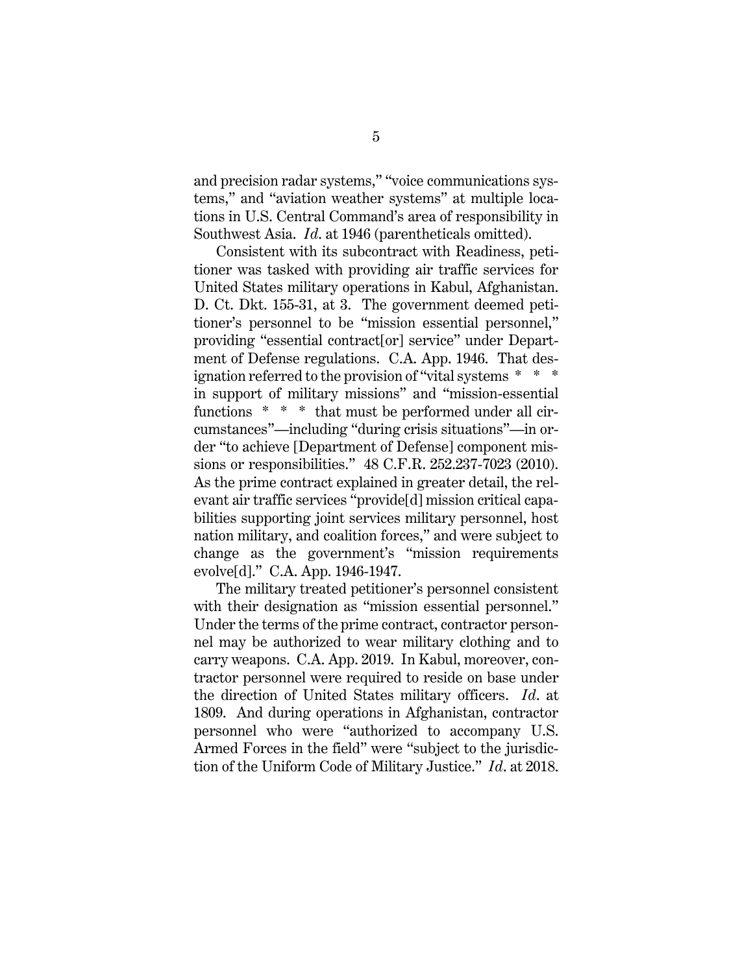and precision radar systems," "voice communications systems," and "aviation weather systems" at multiple locations in U.S. Central Command's area of responsibility in Southwest Asia. *Id*. at 1946 (parentheticals omitted).

Consistent with its subcontract with Readiness, petitioner was tasked with providing air traffic services for United States military operations in Kabul, Afghanistan. D. Ct. Dkt. 155-31, at 3. The government deemed petitioner's personnel to be "mission essential personnel," providing "essential contract[or] service" under Department of Defense regulations. C.A. App. 1946. That designation referred to the provision of "vital systems \* \* \* in support of military missions" and "mission-essential functions \* \* \* that must be performed under all circumstances"—including "during crisis situations"—in order "to achieve [Department of Defense] component missions or responsibilities." 48 C.F.R. 252.237-7023 (2010). As the prime contract explained in greater detail, the relevant air traffic services "provide[d] mission critical capabilities supporting joint services military personnel, host nation military, and coalition forces," and were subject to change as the government's "mission requirements evolve[d]." C.A. App. 1946-1947.

The military treated petitioner's personnel consistent with their designation as "mission essential personnel." Under the terms of the prime contract, contractor personnel may be authorized to wear military clothing and to carry weapons. C.A. App. 2019. In Kabul, moreover, contractor personnel were required to reside on base under the direction of United States military officers. *Id*. at 1809. And during operations in Afghanistan, contractor personnel who were "authorized to accompany U.S. Armed Forces in the field" were "subject to the jurisdiction of the Uniform Code of Military Justice." *Id*. at 2018.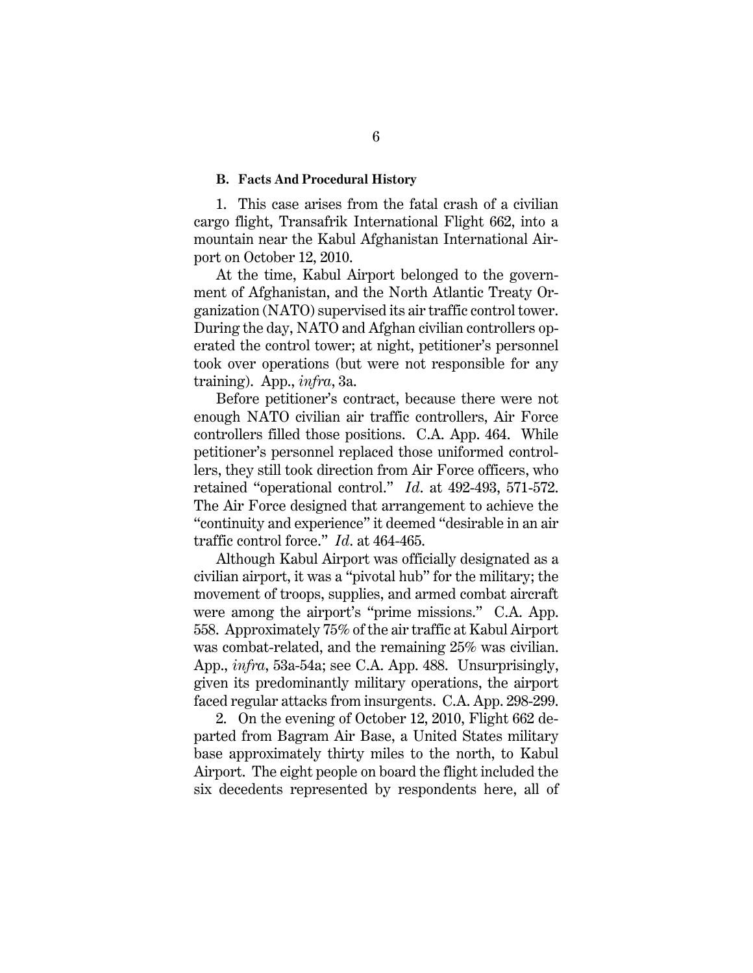#### **B. Facts And Procedural History**

1. This case arises from the fatal crash of a civilian cargo flight, Transafrik International Flight 662, into a mountain near the Kabul Afghanistan International Airport on October 12, 2010.

At the time, Kabul Airport belonged to the government of Afghanistan, and the North Atlantic Treaty Organization (NATO) supervised its air traffic control tower. During the day, NATO and Afghan civilian controllers operated the control tower; at night, petitioner's personnel took over operations (but were not responsible for any training). App., *infra*, 3a.

Before petitioner's contract, because there were not enough NATO civilian air traffic controllers, Air Force controllers filled those positions. C.A. App. 464. While petitioner's personnel replaced those uniformed controllers, they still took direction from Air Force officers, who retained "operational control." *Id*. at 492-493, 571-572. The Air Force designed that arrangement to achieve the "continuity and experience" it deemed "desirable in an air traffic control force." *Id*. at 464-465.

Although Kabul Airport was officially designated as a civilian airport, it was a "pivotal hub" for the military; the movement of troops, supplies, and armed combat aircraft were among the airport's "prime missions." C.A. App. 558. Approximately 75% of the air traffic at Kabul Airport was combat-related, and the remaining 25% was civilian. App., *infra*, 53a-54a; see C.A. App. 488. Unsurprisingly, given its predominantly military operations, the airport faced regular attacks from insurgents. C.A. App. 298-299.

2. On the evening of October 12, 2010, Flight 662 departed from Bagram Air Base, a United States military base approximately thirty miles to the north, to Kabul Airport. The eight people on board the flight included the six decedents represented by respondents here, all of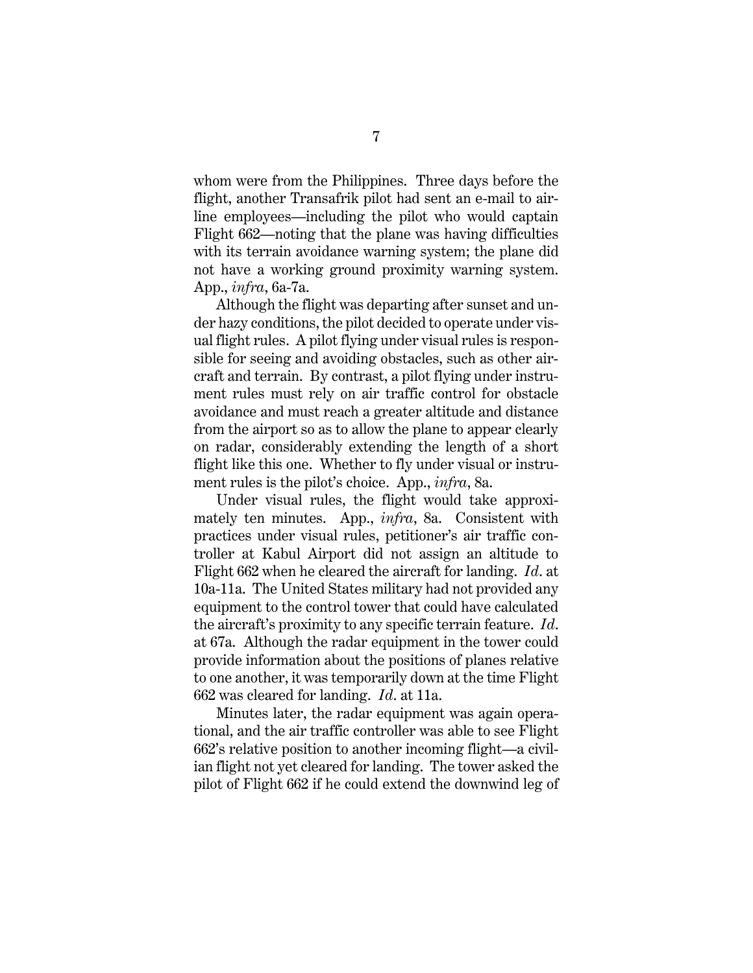whom were from the Philippines. Three days before the flight, another Transafrik pilot had sent an e-mail to airline employees—including the pilot who would captain Flight 662—noting that the plane was having difficulties with its terrain avoidance warning system; the plane did not have a working ground proximity warning system. App., *infra*, 6a-7a.

Although the flight was departing after sunset and under hazy conditions, the pilot decided to operate under visual flight rules. A pilot flying under visual rules is responsible for seeing and avoiding obstacles, such as other aircraft and terrain. By contrast, a pilot flying under instrument rules must rely on air traffic control for obstacle avoidance and must reach a greater altitude and distance from the airport so as to allow the plane to appear clearly on radar, considerably extending the length of a short flight like this one. Whether to fly under visual or instrument rules is the pilot's choice. App., *infra*, 8a.

Under visual rules, the flight would take approximately ten minutes. App., *infra*, 8a.Consistent with practices under visual rules, petitioner's air traffic controller at Kabul Airport did not assign an altitude to Flight 662 when he cleared the aircraft for landing. *Id*. at 10a-11a. The United States military had not provided any equipment to the control tower that could have calculated the aircraft's proximity to any specific terrain feature. *Id*. at 67a. Although the radar equipment in the tower could provide information about the positions of planes relative to one another, it was temporarily down at the time Flight 662 was cleared for landing. *Id*. at 11a.

Minutes later, the radar equipment was again operational, and the air traffic controller was able to see Flight 662's relative position to another incoming flight—a civilian flight not yet cleared for landing. The tower asked the pilot of Flight 662 if he could extend the downwind leg of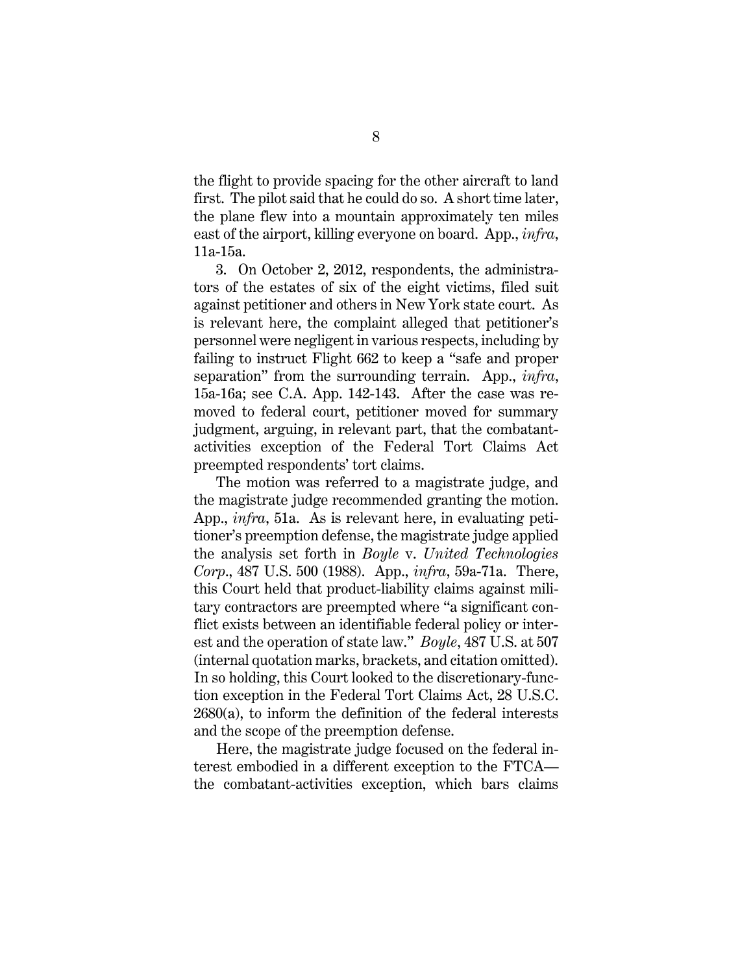the flight to provide spacing for the other aircraft to land first. The pilot said that he could do so. A short time later, the plane flew into a mountain approximately ten miles east of the airport, killing everyone on board. App., *infra*, 11a-15a.

3. On October 2, 2012, respondents, the administrators of the estates of six of the eight victims, filed suit against petitioner and others in New York state court. As is relevant here, the complaint alleged that petitioner's personnel were negligent in various respects, including by failing to instruct Flight 662 to keep a "safe and proper separation" from the surrounding terrain. App., *infra*, 15a-16a; see C.A. App. 142-143. After the case was removed to federal court, petitioner moved for summary judgment, arguing, in relevant part, that the combatantactivities exception of the Federal Tort Claims Act preempted respondents' tort claims.

The motion was referred to a magistrate judge, and the magistrate judge recommended granting the motion. App., *infra*, 51a. As is relevant here, in evaluating petitioner's preemption defense, the magistrate judge applied the analysis set forth in *Boyle* v. *United Technologies Corp*., 487 U.S. 500 (1988). App., *infra*, 59a-71a. There, this Court held that product-liability claims against military contractors are preempted where "a significant conflict exists between an identifiable federal policy or interest and the operation of state law." *Boyle*, 487 U.S. at 507 (internal quotation marks, brackets, and citation omitted). In so holding, this Court looked to the discretionary-function exception in the Federal Tort Claims Act, 28 U.S.C. 2680(a), to inform the definition of the federal interests and the scope of the preemption defense.

Here, the magistrate judge focused on the federal interest embodied in a different exception to the FTCA the combatant-activities exception, which bars claims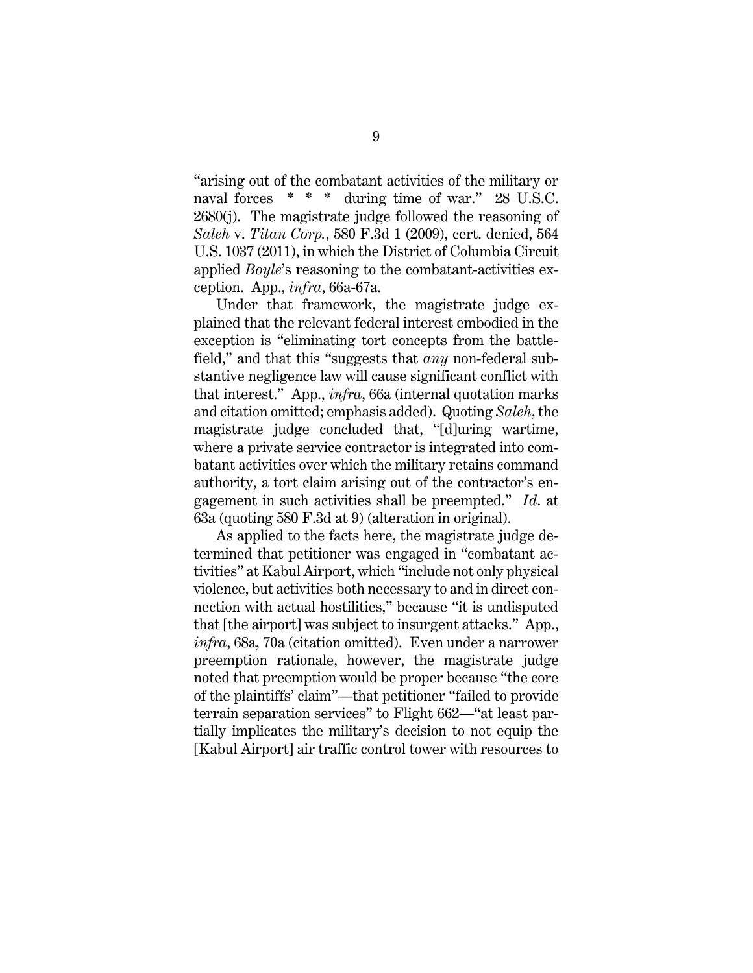"arising out of the combatant activities of the military or naval forces \* \* \* during time of war." 28 U.S.C. 2680(j). The magistrate judge followed the reasoning of *Saleh* v. *Titan Corp.*, 580 F.3d 1 (2009), cert. denied, 564 U.S. 1037 (2011), in which the District of Columbia Circuit applied *Boyle*'s reasoning to the combatant-activities exception. App., *infra*, 66a-67a.

Under that framework, the magistrate judge explained that the relevant federal interest embodied in the exception is "eliminating tort concepts from the battlefield," and that this "suggests that *any* non-federal substantive negligence law will cause significant conflict with that interest." App., *infra*, 66a (internal quotation marks and citation omitted; emphasis added). Quoting *Saleh*, the magistrate judge concluded that, "[d]uring wartime, where a private service contractor is integrated into combatant activities over which the military retains command authority, a tort claim arising out of the contractor's engagement in such activities shall be preempted." *Id*. at 63a (quoting 580 F.3d at 9) (alteration in original).

As applied to the facts here, the magistrate judge determined that petitioner was engaged in "combatant activities" at Kabul Airport, which "include not only physical violence, but activities both necessary to and in direct connection with actual hostilities," because "it is undisputed that [the airport] was subject to insurgent attacks." App., *infra*, 68a, 70a (citation omitted). Even under a narrower preemption rationale, however, the magistrate judge noted that preemption would be proper because "the core of the plaintiffs' claim"—that petitioner "failed to provide terrain separation services" to Flight 662—"at least partially implicates the military's decision to not equip the [Kabul Airport] air traffic control tower with resources to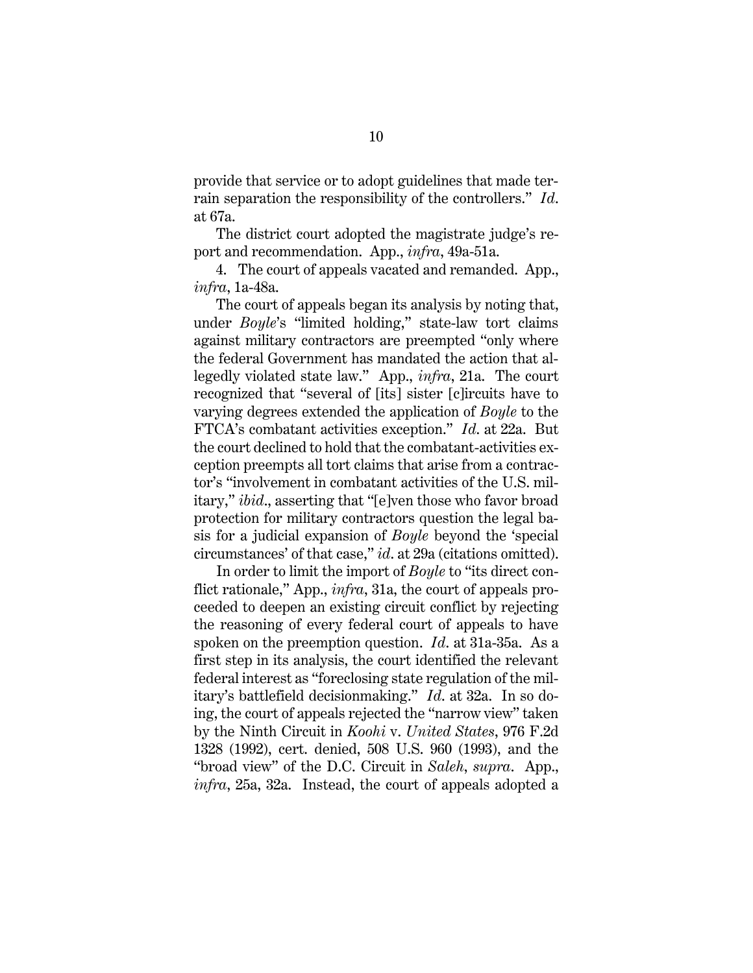provide that service or to adopt guidelines that made terrain separation the responsibility of the controllers." *Id*. at 67a.

The district court adopted the magistrate judge's report and recommendation. App., *infra*, 49a-51a.

4. The court of appeals vacated and remanded. App., *infra*, 1a-48a.

The court of appeals began its analysis by noting that, under *Boyle*'s "limited holding," state-law tort claims against military contractors are preempted "only where the federal Government has mandated the action that allegedly violated state law." App., *infra*, 21a. The court recognized that "several of [its] sister [c]ircuits have to varying degrees extended the application of *Boyle* to the FTCA's combatant activities exception." *Id*. at 22a.But the court declined to hold that the combatant-activities exception preempts all tort claims that arise from a contractor's "involvement in combatant activities of the U.S. military," *ibid*., asserting that "[e]ven those who favor broad protection for military contractors question the legal basis for a judicial expansion of *Boyle* beyond the 'special circumstances' of that case," *id*. at 29a (citations omitted).

In order to limit the import of *Boyle* to "its direct conflict rationale," App., *infra*, 31a, the court of appeals proceeded to deepen an existing circuit conflict by rejecting the reasoning of every federal court of appeals to have spoken on the preemption question. *Id*. at 31a-35a. As a first step in its analysis, the court identified the relevant federal interest as "foreclosing state regulation of the military's battlefield decisionmaking." *Id*. at 32a. In so doing, the court of appeals rejected the "narrow view" taken by the Ninth Circuit in *Koohi* v. *United States*, 976 F.2d 1328 (1992), cert. denied, 508 U.S. 960 (1993), and the "broad view" of the D.C. Circuit in *Saleh*, *supra*. App., *infra*, 25a, 32a. Instead, the court of appeals adopted a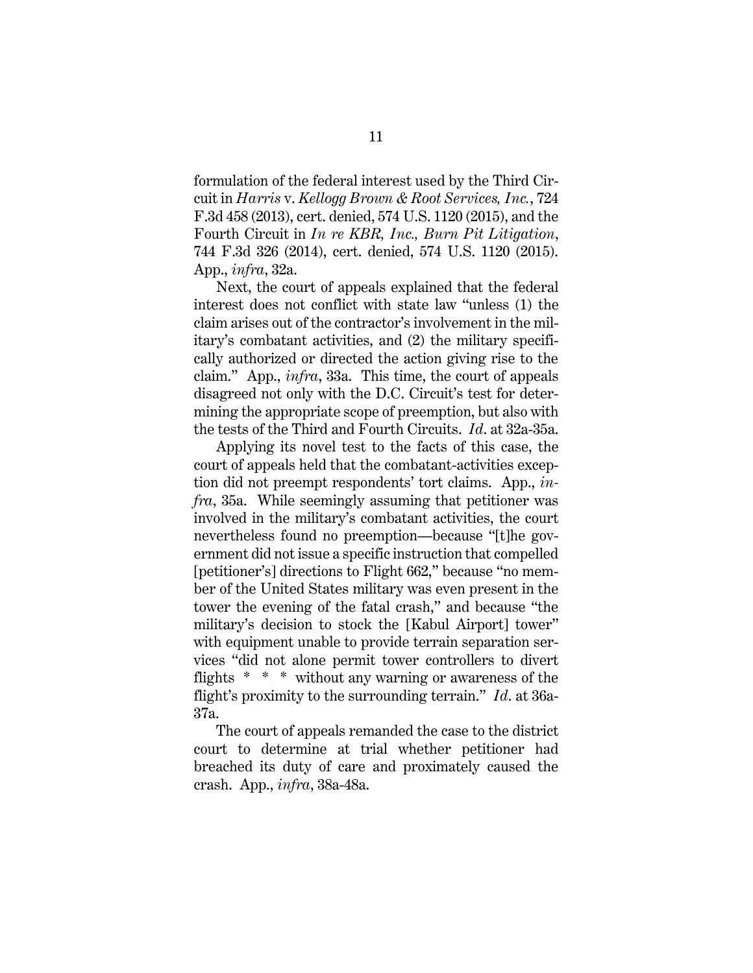formulation of the federal interest used by the Third Circuit in *Harris* v. *Kellogg Brown & Root Services, Inc.*, 724 F.3d 458 (2013), cert. denied, 574 U.S. 1120 (2015), and the Fourth Circuit in *In re KBR, Inc., Burn Pit Litigation*, 744 F.3d 326 (2014), cert. denied, 574 U.S. 1120 (2015). App., *infra*, 32a.

Next, the court of appeals explained that the federal interest does not conflict with state law "unless (1) the claim arises out of the contractor's involvement in the military's combatant activities, and (2) the military specifically authorized or directed the action giving rise to the claim." App., *infra*, 33a. This time, the court of appeals disagreed not only with the D.C. Circuit's test for determining the appropriate scope of preemption, but also with the tests of the Third and Fourth Circuits. *Id*. at 32a-35a.

Applying its novel test to the facts of this case, the court of appeals held that the combatant-activities exception did not preempt respondents' tort claims. App., *infra*, 35a. While seemingly assuming that petitioner was involved in the military's combatant activities, the court nevertheless found no preemption—because "[t]he government did not issue a specific instruction that compelled [petitioner's] directions to Flight 662," because "no member of the United States military was even present in the tower the evening of the fatal crash," and because "the military's decision to stock the [Kabul Airport] tower" with equipment unable to provide terrain separation services "did not alone permit tower controllers to divert flights \* \* \* without any warning or awareness of the flight's proximity to the surrounding terrain." *Id*. at 36a-37a.

The court of appeals remanded the case to the district court to determine at trial whether petitioner had breached its duty of care and proximately caused the crash. App., *infra*, 38a-48a.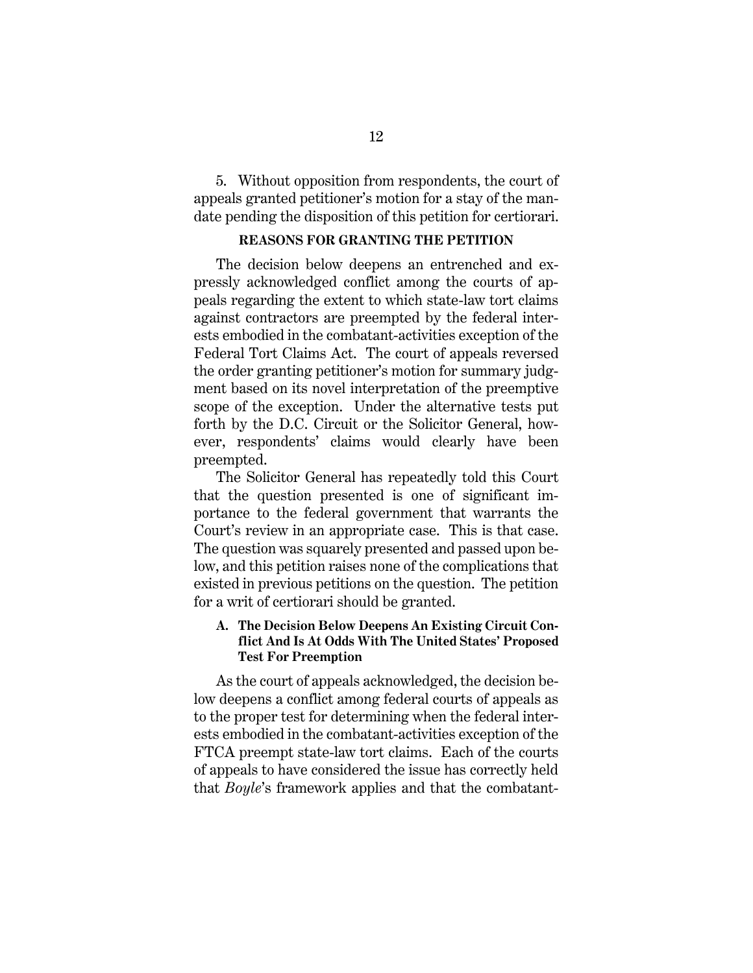5. Without opposition from respondents, the court of appeals granted petitioner's motion for a stay of the mandate pending the disposition of this petition for certiorari.

## **REASONS FOR GRANTING THE PETITION**

The decision below deepens an entrenched and expressly acknowledged conflict among the courts of appeals regarding the extent to which state-law tort claims against contractors are preempted by the federal interests embodied in the combatant-activities exception of the Federal Tort Claims Act. The court of appeals reversed the order granting petitioner's motion for summary judgment based on its novel interpretation of the preemptive scope of the exception. Under the alternative tests put forth by the D.C. Circuit or the Solicitor General, however, respondents' claims would clearly have been preempted.

The Solicitor General has repeatedly told this Court that the question presented is one of significant importance to the federal government that warrants the Court's review in an appropriate case. This is that case. The question was squarely presented and passed upon below, and this petition raises none of the complications that existed in previous petitions on the question. The petition for a writ of certiorari should be granted.

### **A. The Decision Below Deepens An Existing Circuit Conflict And Is At Odds With The United States' Proposed Test For Preemption**

As the court of appeals acknowledged, the decision below deepens a conflict among federal courts of appeals as to the proper test for determining when the federal interests embodied in the combatant-activities exception of the FTCA preempt state-law tort claims. Each of the courts of appeals to have considered the issue has correctly held that *Boyle*'s framework applies and that the combatant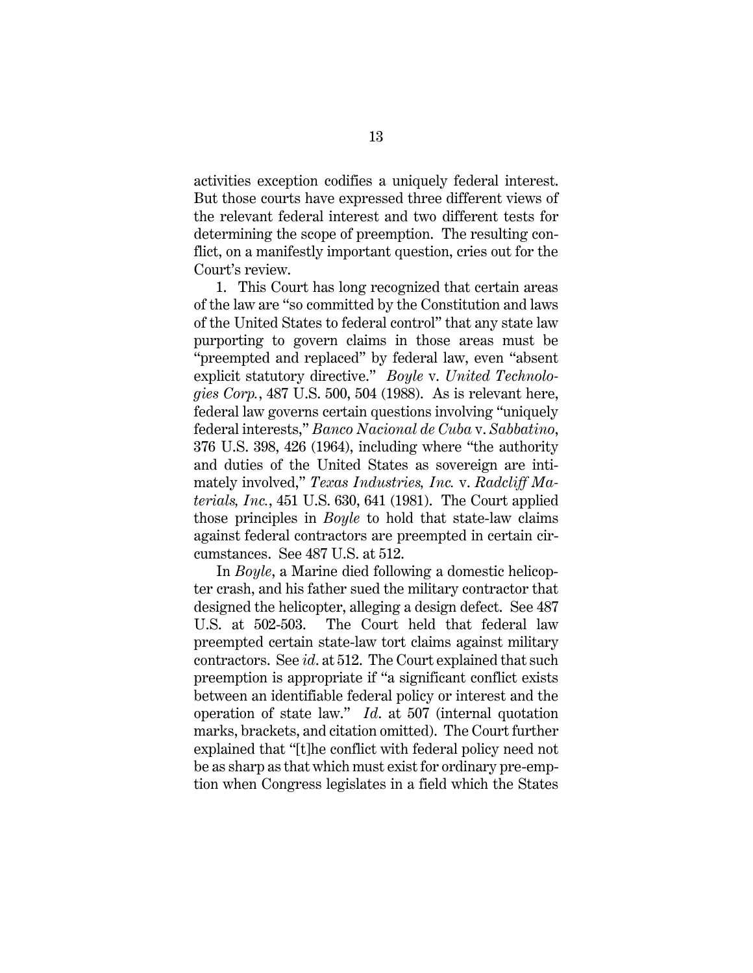activities exception codifies a uniquely federal interest. But those courts have expressed three different views of the relevant federal interest and two different tests for determining the scope of preemption. The resulting conflict, on a manifestly important question, cries out for the Court's review.

1. This Court has long recognized that certain areas of the law are "so committed by the Constitution and laws of the United States to federal control" that any state law purporting to govern claims in those areas must be "preempted and replaced" by federal law, even "absent explicit statutory directive." *Boyle* v. *United Technologies Corp.*, 487 U.S. 500, 504 (1988). As is relevant here, federal law governs certain questions involving "uniquely federal interests," *Banco Nacional de Cuba* v. *Sabbatino*, 376 U.S. 398, 426 (1964), including where "the authority and duties of the United States as sovereign are intimately involved," *Texas Industries, Inc.* v. *Radcliff Materials, Inc.*, 451 U.S. 630, 641 (1981). The Court applied those principles in *Boyle* to hold that state-law claims against federal contractors are preempted in certain circumstances. See 487 U.S. at 512.

In *Boyle*, a Marine died following a domestic helicopter crash, and his father sued the military contractor that designed the helicopter, alleging a design defect. See 487 U.S. at 502-503. The Court held that federal law preempted certain state-law tort claims against military contractors. See *id*. at 512. The Court explained that such preemption is appropriate if "a significant conflict exists between an identifiable federal policy or interest and the operation of state law." *Id*. at 507 (internal quotation marks, brackets, and citation omitted). The Court further explained that "[t]he conflict with federal policy need not be as sharp as that which must exist for ordinary pre-emption when Congress legislates in a field which the States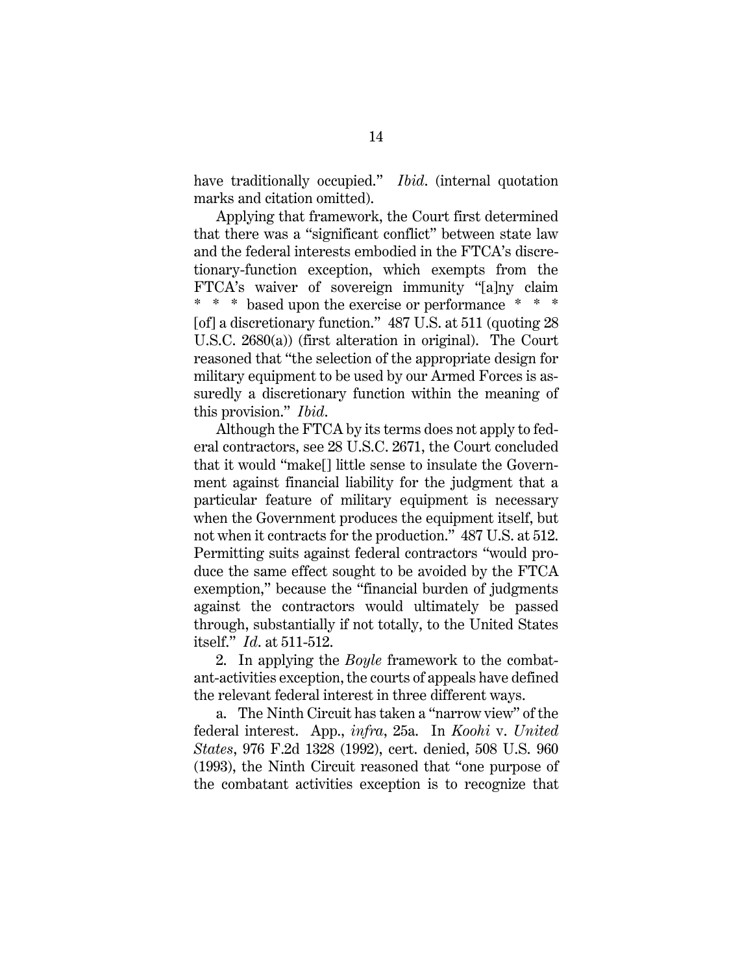have traditionally occupied." *Ibid*. (internal quotation marks and citation omitted).

Applying that framework, the Court first determined that there was a "significant conflict" between state law and the federal interests embodied in the FTCA's discretionary-function exception, which exempts from the FTCA's waiver of sovereign immunity "[a]ny claim \* \* \* based upon the exercise or performance \* \* \* [of] a discretionary function." 487 U.S. at 511 (quoting 28) U.S.C. 2680(a)) (first alteration in original). The Court reasoned that "the selection of the appropriate design for military equipment to be used by our Armed Forces is assuredly a discretionary function within the meaning of this provision." *Ibid*.

Although the FTCA by its terms does not apply to federal contractors, see 28 U.S.C. 2671, the Court concluded that it would "make[] little sense to insulate the Government against financial liability for the judgment that a particular feature of military equipment is necessary when the Government produces the equipment itself, but not when it contracts for the production." 487 U.S. at 512. Permitting suits against federal contractors "would produce the same effect sought to be avoided by the FTCA exemption," because the "financial burden of judgments against the contractors would ultimately be passed through, substantially if not totally, to the United States itself." *Id*. at 511-512.

2. In applying the *Boyle* framework to the combatant-activities exception, the courts of appeals have defined the relevant federal interest in three different ways.

a. The Ninth Circuit has taken a "narrow view" of the federal interest. App., *infra*, 25a. In *Koohi* v. *United States*, 976 F.2d 1328 (1992), cert. denied, 508 U.S. 960 (1993), the Ninth Circuit reasoned that "one purpose of the combatant activities exception is to recognize that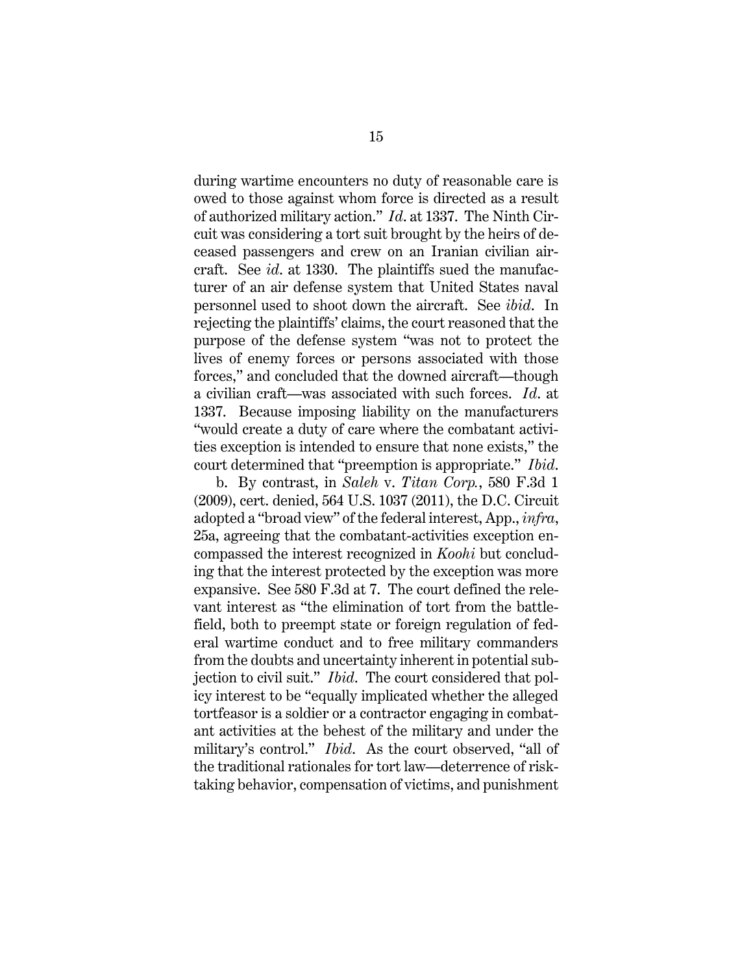during wartime encounters no duty of reasonable care is owed to those against whom force is directed as a result of authorized military action." *Id*. at 1337. The Ninth Circuit was considering a tort suit brought by the heirs of deceased passengers and crew on an Iranian civilian aircraft. See *id*. at 1330. The plaintiffs sued the manufacturer of an air defense system that United States naval personnel used to shoot down the aircraft. See *ibid*. In rejecting the plaintiffs' claims, the court reasoned that the purpose of the defense system "was not to protect the lives of enemy forces or persons associated with those forces," and concluded that the downed aircraft—though a civilian craft—was associated with such forces. *Id*. at 1337. Because imposing liability on the manufacturers "would create a duty of care where the combatant activities exception is intended to ensure that none exists," the court determined that "preemption is appropriate." *Ibid*.

b. By contrast, in *Saleh* v. *Titan Corp.*, 580 F.3d 1 (2009), cert. denied, 564 U.S. 1037 (2011), the D.C. Circuit adopted a "broad view" of the federal interest, App., *infra*, 25a, agreeing that the combatant-activities exception encompassed the interest recognized in *Koohi* but concluding that the interest protected by the exception was more expansive. See 580 F.3d at 7. The court defined the relevant interest as "the elimination of tort from the battlefield, both to preempt state or foreign regulation of federal wartime conduct and to free military commanders from the doubts and uncertainty inherent in potential subjection to civil suit." *Ibid*. The court considered that policy interest to be "equally implicated whether the alleged tortfeasor is a soldier or a contractor engaging in combatant activities at the behest of the military and under the military's control." *Ibid*. As the court observed, "all of the traditional rationales for tort law—deterrence of risktaking behavior, compensation of victims, and punishment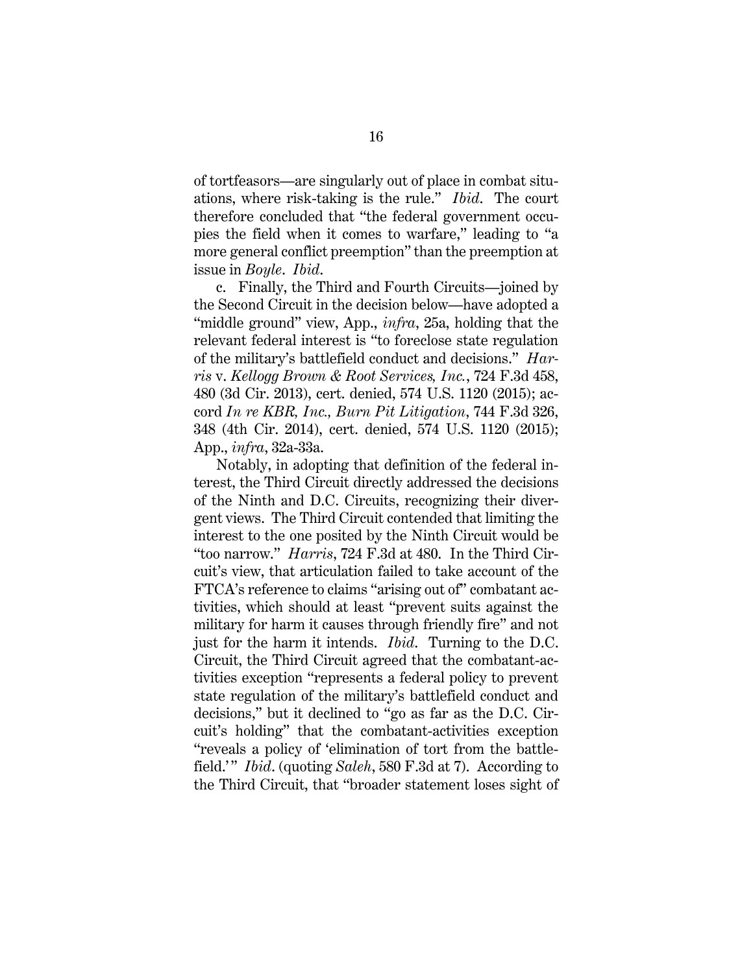of tortfeasors—are singularly out of place in combat situations, where risk-taking is the rule." *Ibid*. The court therefore concluded that "the federal government occupies the field when it comes to warfare," leading to "a more general conflict preemption" than the preemption at issue in *Boyle*. *Ibid*.

c. Finally, the Third and Fourth Circuits—joined by the Second Circuit in the decision below—have adopted a "middle ground" view, App., *infra*, 25a, holding that the relevant federal interest is "to foreclose state regulation of the military's battlefield conduct and decisions." *Harris* v. *Kellogg Brown & Root Services, Inc.*, 724 F.3d 458, 480 (3d Cir. 2013), cert. denied, 574 U.S. 1120 (2015); accord *In re KBR, Inc., Burn Pit Litigation*, 744 F.3d 326, 348 (4th Cir. 2014), cert. denied, 574 U.S. 1120 (2015); App., *infra*, 32a-33a.

Notably, in adopting that definition of the federal interest, the Third Circuit directly addressed the decisions of the Ninth and D.C. Circuits, recognizing their divergent views. The Third Circuit contended that limiting the interest to the one posited by the Ninth Circuit would be "too narrow." *Harris*, 724 F.3d at 480. In the Third Circuit's view, that articulation failed to take account of the FTCA's reference to claims "arising out of" combatant activities, which should at least "prevent suits against the military for harm it causes through friendly fire" and not just for the harm it intends. *Ibid*. Turning to the D.C. Circuit, the Third Circuit agreed that the combatant-activities exception "represents a federal policy to prevent state regulation of the military's battlefield conduct and decisions," but it declined to "go as far as the D.C. Circuit's holding" that the combatant-activities exception "reveals a policy of 'elimination of tort from the battlefield.'" *Ibid.* (quoting *Saleh*, 580 F.3d at 7). According to the Third Circuit, that "broader statement loses sight of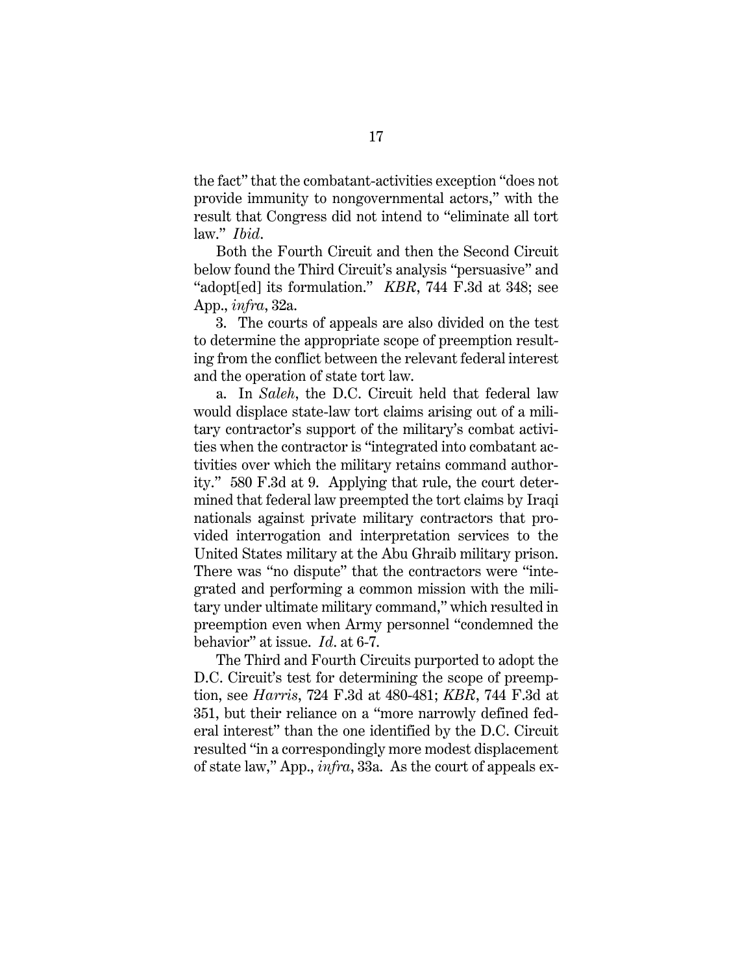the fact" that the combatant-activities exception "does not provide immunity to nongovernmental actors," with the result that Congress did not intend to "eliminate all tort law." *Ibid*.

Both the Fourth Circuit and then the Second Circuit below found the Third Circuit's analysis "persuasive" and "adopt[ed] its formulation." *KBR*, 744 F.3d at 348; see App., *infra*, 32a.

3. The courts of appeals are also divided on the test to determine the appropriate scope of preemption resulting from the conflict between the relevant federal interest and the operation of state tort law.

a. In *Saleh*, the D.C. Circuit held that federal law would displace state-law tort claims arising out of a military contractor's support of the military's combat activities when the contractor is "integrated into combatant activities over which the military retains command authority." 580 F.3d at 9. Applying that rule, the court determined that federal law preempted the tort claims by Iraqi nationals against private military contractors that provided interrogation and interpretation services to the United States military at the Abu Ghraib military prison. There was "no dispute" that the contractors were "integrated and performing a common mission with the military under ultimate military command," which resulted in preemption even when Army personnel "condemned the behavior" at issue. *Id*. at 6-7.

The Third and Fourth Circuits purported to adopt the D.C. Circuit's test for determining the scope of preemption, see *Harris*, 724 F.3d at 480-481; *KBR*, 744 F.3d at 351, but their reliance on a "more narrowly defined federal interest" than the one identified by the D.C. Circuit resulted "in a correspondingly more modest displacement of state law," App., *infra*, 33a. As the court of appeals ex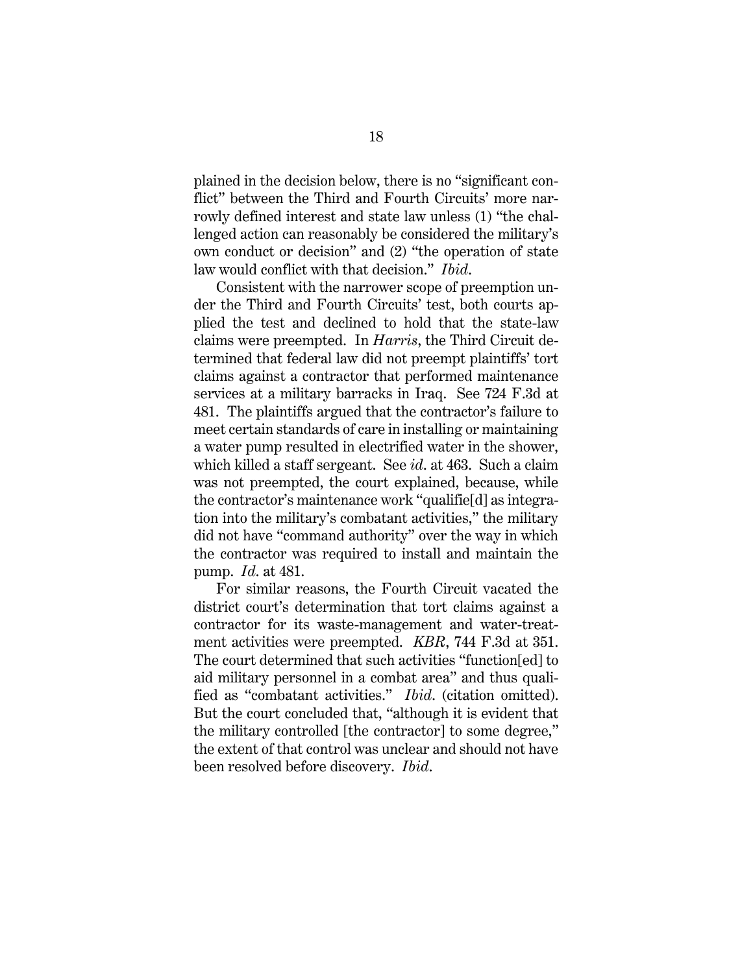plained in the decision below, there is no "significant conflict" between the Third and Fourth Circuits' more narrowly defined interest and state law unless (1) "the challenged action can reasonably be considered the military's own conduct or decision" and (2) "the operation of state law would conflict with that decision." *Ibid*.

Consistent with the narrower scope of preemption under the Third and Fourth Circuits' test, both courts applied the test and declined to hold that the state-law claims were preempted. In *Harris*, the Third Circuit determined that federal law did not preempt plaintiffs' tort claims against a contractor that performed maintenance services at a military barracks in Iraq. See 724 F.3d at 481. The plaintiffs argued that the contractor's failure to meet certain standards of care in installing or maintaining a water pump resulted in electrified water in the shower, which killed a staff sergeant. See *id*. at 463. Such a claim was not preempted, the court explained, because, while the contractor's maintenance work "qualifie[d] as integration into the military's combatant activities," the military did not have "command authority" over the way in which the contractor was required to install and maintain the pump. *Id*. at 481.

For similar reasons, the Fourth Circuit vacated the district court's determination that tort claims against a contractor for its waste-management and water-treatment activities were preempted. *KBR*, 744 F.3d at 351. The court determined that such activities "function[ed] to aid military personnel in a combat area" and thus qualified as "combatant activities." *Ibid*. (citation omitted). But the court concluded that, "although it is evident that the military controlled [the contractor] to some degree," the extent of that control was unclear and should not have been resolved before discovery. *Ibid*.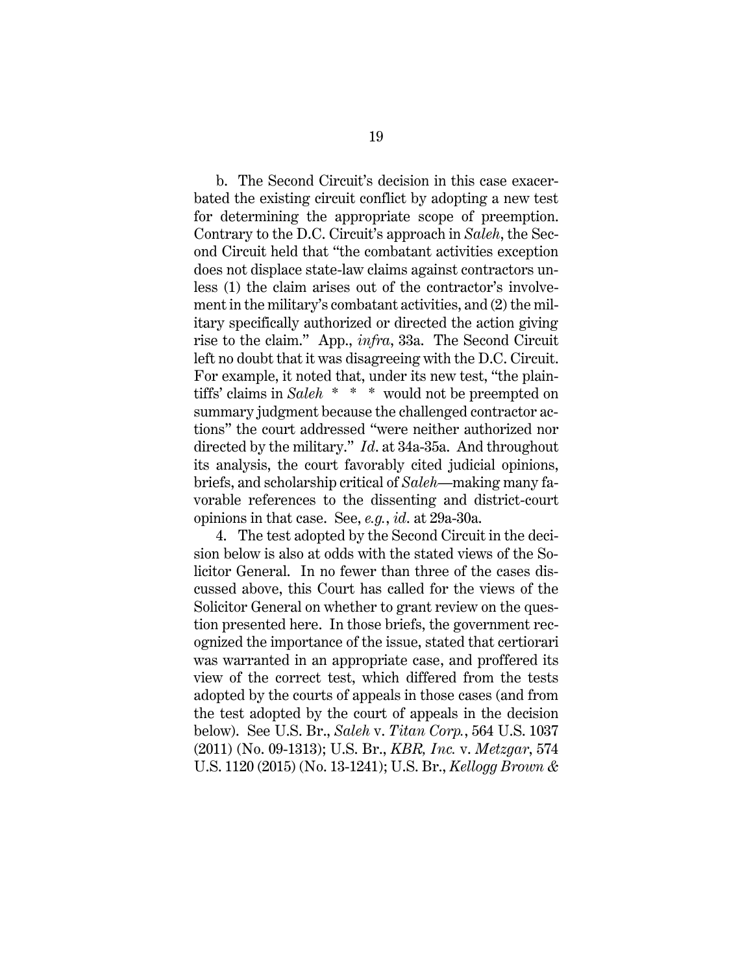b. The Second Circuit's decision in this case exacerbated the existing circuit conflict by adopting a new test for determining the appropriate scope of preemption. Contrary to the D.C. Circuit's approach in *Saleh*, the Second Circuit held that "the combatant activities exception does not displace state-law claims against contractors unless (1) the claim arises out of the contractor's involvement in the military's combatant activities, and (2) the military specifically authorized or directed the action giving rise to the claim." App., *infra*, 33a. The Second Circuit left no doubt that it was disagreeing with the D.C. Circuit. For example, it noted that, under its new test, "the plaintiffs' claims in *Saleh* \* \* \* would not be preempted on summary judgment because the challenged contractor actions" the court addressed "were neither authorized nor directed by the military." *Id*. at 34a-35a. And throughout its analysis, the court favorably cited judicial opinions, briefs, and scholarship critical of *Saleh*—making many favorable references to the dissenting and district-court opinions in that case. See, *e.g.*, *id*. at 29a-30a.

4. The test adopted by the Second Circuit in the decision below is also at odds with the stated views of the Solicitor General. In no fewer than three of the cases discussed above, this Court has called for the views of the Solicitor General on whether to grant review on the question presented here. In those briefs, the government recognized the importance of the issue, stated that certiorari was warranted in an appropriate case, and proffered its view of the correct test, which differed from the tests adopted by the courts of appeals in those cases (and from the test adopted by the court of appeals in the decision below). See U.S. Br., *Saleh* v. *Titan Corp.*, 564 U.S. 1037 (2011) (No. 09-1313); U.S. Br., *KBR, Inc.* v. *Metzgar*, 574 U.S. 1120 (2015) (No. 13-1241); U.S. Br., *Kellogg Brown &*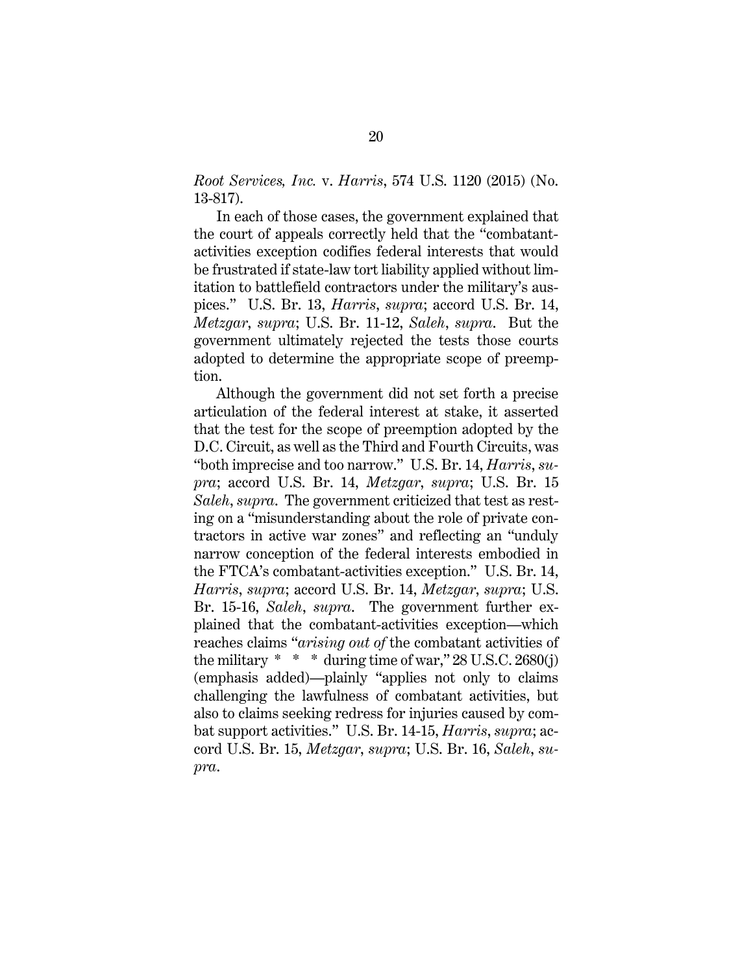*Root Services, Inc.* v. *Harris*, 574 U.S. 1120 (2015) (No. 13-817).

In each of those cases, the government explained that the court of appeals correctly held that the "combatantactivities exception codifies federal interests that would be frustrated if state-law tort liability applied without limitation to battlefield contractors under the military's auspices." U.S. Br. 13, *Harris*, *supra*; accord U.S. Br. 14, *Metzgar*, *supra*; U.S. Br. 11-12, *Saleh*, *supra*. But the government ultimately rejected the tests those courts adopted to determine the appropriate scope of preemption.

Although the government did not set forth a precise articulation of the federal interest at stake, it asserted that the test for the scope of preemption adopted by the D.C. Circuit, as well as the Third and Fourth Circuits, was "both imprecise and too narrow." U.S. Br. 14, *Harris*, *supra*; accord U.S. Br. 14, *Metzgar*, *supra*; U.S. Br. 15 *Saleh*, *supra*. The government criticized that test as resting on a "misunderstanding about the role of private contractors in active war zones" and reflecting an "unduly narrow conception of the federal interests embodied in the FTCA's combatant-activities exception." U.S. Br. 14, *Harris*, *supra*; accord U.S. Br. 14, *Metzgar*, *supra*; U.S. Br. 15-16, *Saleh*, *supra*. The government further explained that the combatant-activities exception—which reaches claims "*arising out of* the combatant activities of the military  $* * *$  during time of war," 28 U.S.C. 2680(j) (emphasis added)—plainly "applies not only to claims challenging the lawfulness of combatant activities, but also to claims seeking redress for injuries caused by combat support activities." U.S. Br. 14-15, *Harris*, *supra*; accord U.S. Br. 15, *Metzgar*, *supra*; U.S. Br. 16, *Saleh*, *supra*.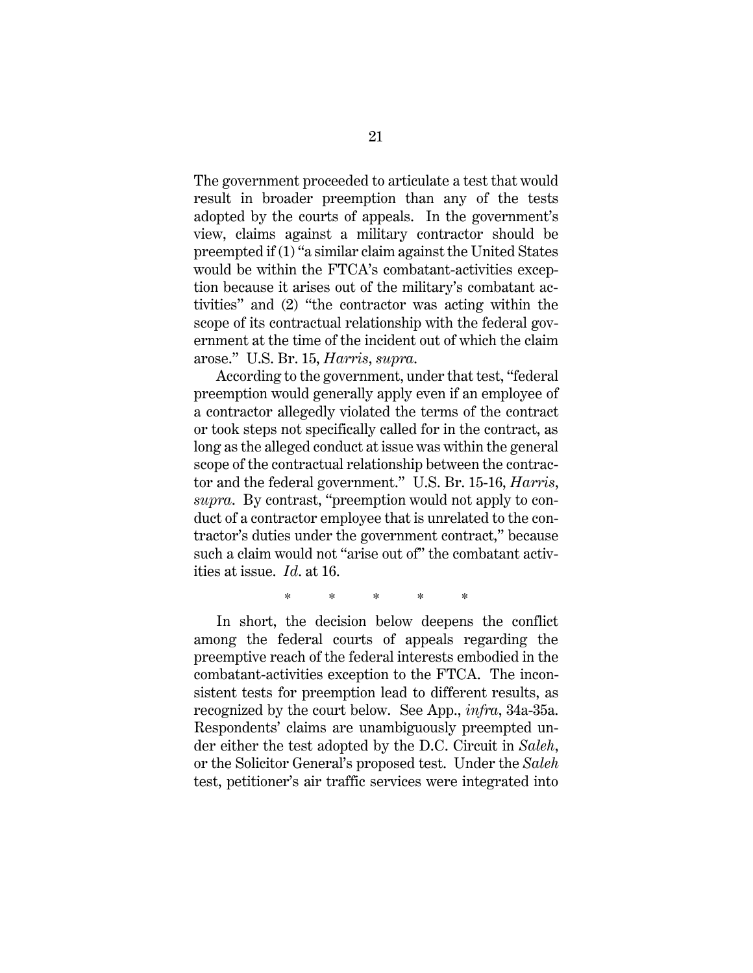The government proceeded to articulate a test that would result in broader preemption than any of the tests adopted by the courts of appeals. In the government's view, claims against a military contractor should be preempted if (1) "a similar claim against the United States would be within the FTCA's combatant-activities exception because it arises out of the military's combatant activities" and (2) "the contractor was acting within the scope of its contractual relationship with the federal government at the time of the incident out of which the claim arose." U.S. Br. 15, *Harris*, *supra*.

According to the government, under that test, "federal preemption would generally apply even if an employee of a contractor allegedly violated the terms of the contract or took steps not specifically called for in the contract, as long as the alleged conduct at issue was within the general scope of the contractual relationship between the contractor and the federal government." U.S. Br. 15-16, *Harris*, *supra*. By contrast, "preemption would not apply to conduct of a contractor employee that is unrelated to the contractor's duties under the government contract," because such a claim would not "arise out of" the combatant activities at issue. *Id*. at 16.

\* \* \* \* \*

In short, the decision below deepens the conflict among the federal courts of appeals regarding the preemptive reach of the federal interests embodied in the combatant-activities exception to the FTCA. The inconsistent tests for preemption lead to different results, as recognized by the court below. See App., *infra*, 34a-35a. Respondents' claims are unambiguously preempted under either the test adopted by the D.C. Circuit in *Saleh*, or the Solicitor General's proposed test. Under the *Saleh* test, petitioner's air traffic services were integrated into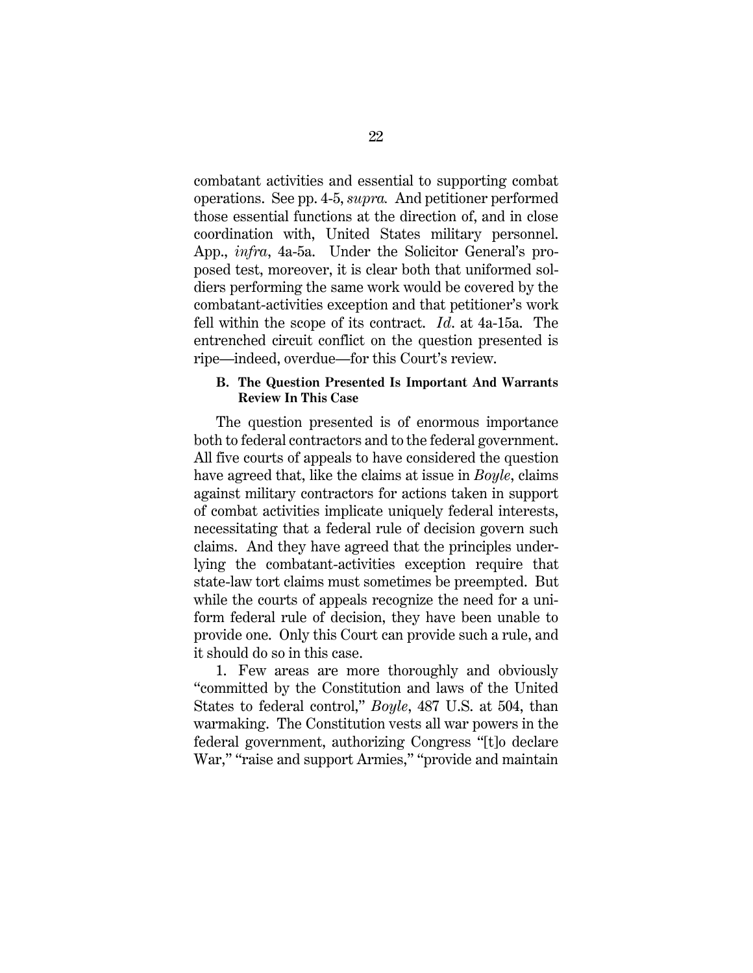combatant activities and essential to supporting combat operations. See pp. 4-5, *supra.* And petitioner performed those essential functions at the direction of, and in close coordination with, United States military personnel. App., *infra*, 4a-5a. Under the Solicitor General's proposed test, moreover, it is clear both that uniformed soldiers performing the same work would be covered by the combatant-activities exception and that petitioner's work fell within the scope of its contract. *Id*. at 4a-15a.The entrenched circuit conflict on the question presented is ripe—indeed, overdue—for this Court's review.

#### **B. The Question Presented Is Important And Warrants Review In This Case**

The question presented is of enormous importance both to federal contractors and to the federal government. All five courts of appeals to have considered the question have agreed that, like the claims at issue in *Boyle*, claims against military contractors for actions taken in support of combat activities implicate uniquely federal interests, necessitating that a federal rule of decision govern such claims. And they have agreed that the principles underlying the combatant-activities exception require that state-law tort claims must sometimes be preempted. But while the courts of appeals recognize the need for a uniform federal rule of decision, they have been unable to provide one. Only this Court can provide such a rule, and it should do so in this case.

1. Few areas are more thoroughly and obviously "committed by the Constitution and laws of the United States to federal control," *Boyle*, 487 U.S. at 504, than warmaking. The Constitution vests all war powers in the federal government, authorizing Congress "[t]o declare War," "raise and support Armies," "provide and maintain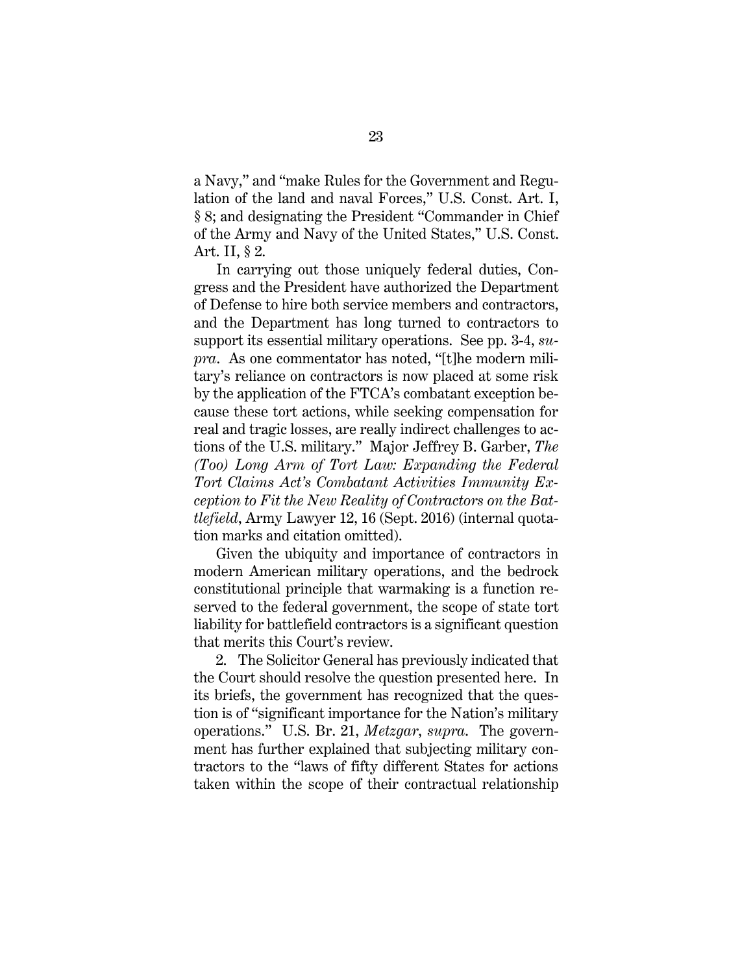a Navy," and "make Rules for the Government and Regulation of the land and naval Forces," U.S. Const. Art. I, § 8; and designating the President "Commander in Chief of the Army and Navy of the United States," U.S. Const. Art. II, § 2.

In carrying out those uniquely federal duties, Congress and the President have authorized the Department of Defense to hire both service members and contractors, and the Department has long turned to contractors to support its essential military operations. See pp. 3-4, *supra*. As one commentator has noted, "[t]he modern military's reliance on contractors is now placed at some risk by the application of the FTCA's combatant exception because these tort actions, while seeking compensation for real and tragic losses, are really indirect challenges to actions of the U.S. military." Major Jeffrey B. Garber, *The (Too) Long Arm of Tort Law: Expanding the Federal Tort Claims Act's Combatant Activities Immunity Exception to Fit the New Reality of Contractors on the Battlefield*, Army Lawyer 12, 16 (Sept. 2016) (internal quotation marks and citation omitted).

Given the ubiquity and importance of contractors in modern American military operations, and the bedrock constitutional principle that warmaking is a function reserved to the federal government, the scope of state tort liability for battlefield contractors is a significant question that merits this Court's review.

2. The Solicitor General has previously indicated that the Court should resolve the question presented here. In its briefs, the government has recognized that the question is of "significant importance for the Nation's military operations." U.S. Br. 21, *Metzgar*, *supra*. The government has further explained that subjecting military contractors to the "laws of fifty different States for actions taken within the scope of their contractual relationship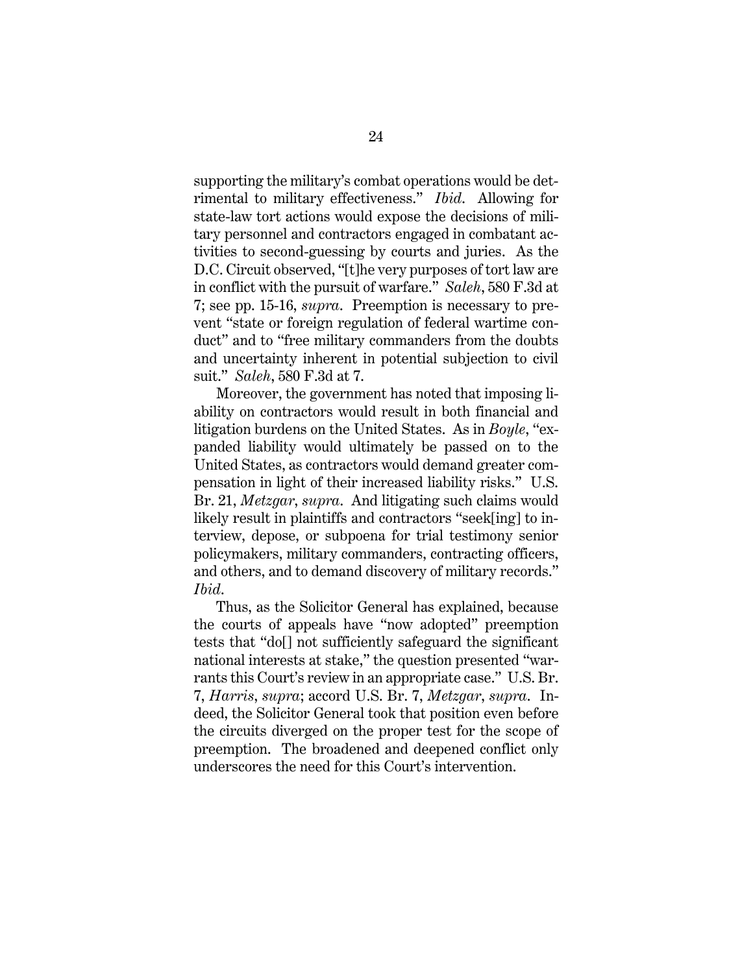supporting the military's combat operations would be detrimental to military effectiveness." *Ibid*. Allowing for state-law tort actions would expose the decisions of military personnel and contractors engaged in combatant activities to second-guessing by courts and juries. As the D.C. Circuit observed, "[t]he very purposes of tort law are in conflict with the pursuit of warfare." *Saleh*, 580 F.3d at 7; see pp. 15-16, *supra*. Preemption is necessary to prevent "state or foreign regulation of federal wartime conduct" and to "free military commanders from the doubts and uncertainty inherent in potential subjection to civil suit." *Saleh*, 580 F.3d at 7.

Moreover, the government has noted that imposing liability on contractors would result in both financial and litigation burdens on the United States. As in *Boyle*, "expanded liability would ultimately be passed on to the United States, as contractors would demand greater compensation in light of their increased liability risks." U.S. Br. 21, *Metzgar*, *supra*. And litigating such claims would likely result in plaintiffs and contractors "seek[ing] to interview, depose, or subpoena for trial testimony senior policymakers, military commanders, contracting officers, and others, and to demand discovery of military records." *Ibid*.

Thus, as the Solicitor General has explained, because the courts of appeals have "now adopted" preemption tests that "do[] not sufficiently safeguard the significant national interests at stake," the question presented "warrants this Court's review in an appropriate case." U.S. Br. 7, *Harris*, *supra*; accord U.S. Br. 7, *Metzgar*, *supra*. Indeed, the Solicitor General took that position even before the circuits diverged on the proper test for the scope of preemption. The broadened and deepened conflict only underscores the need for this Court's intervention.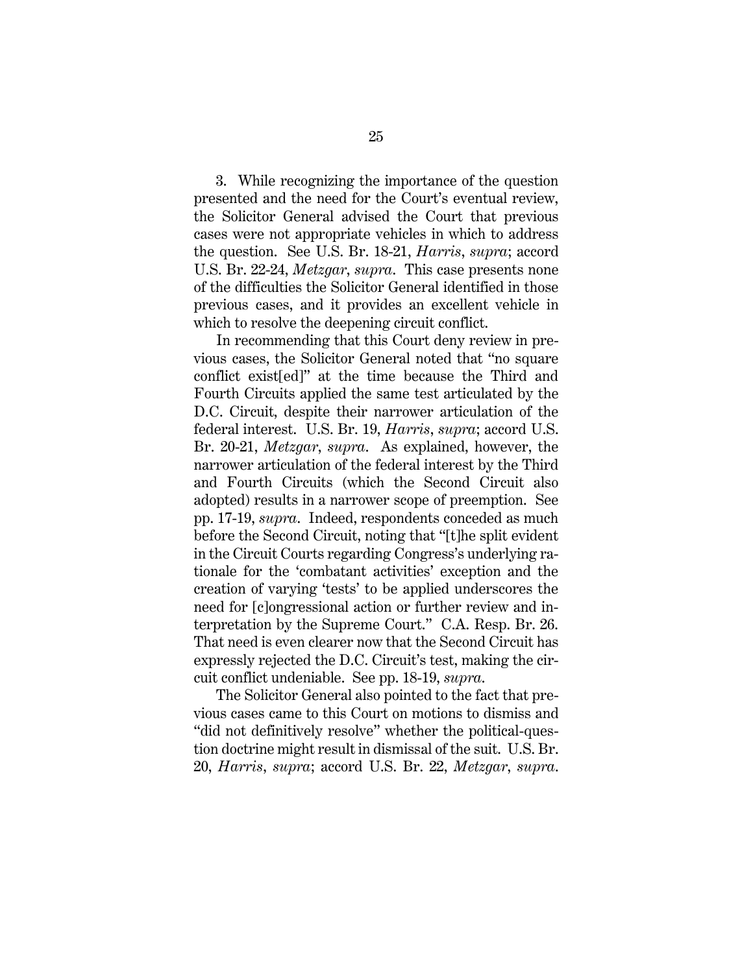3. While recognizing the importance of the question presented and the need for the Court's eventual review, the Solicitor General advised the Court that previous cases were not appropriate vehicles in which to address the question. See U.S. Br. 18-21, *Harris*, *supra*; accord U.S. Br. 22-24, *Metzgar*, *supra*. This case presents none of the difficulties the Solicitor General identified in those previous cases, and it provides an excellent vehicle in which to resolve the deepening circuit conflict.

In recommending that this Court deny review in previous cases, the Solicitor General noted that "no square conflict exist[ed]" at the time because the Third and Fourth Circuits applied the same test articulated by the D.C. Circuit, despite their narrower articulation of the federal interest. U.S. Br. 19, *Harris*, *supra*; accord U.S. Br. 20-21, *Metzgar*, *supra*. As explained, however, the narrower articulation of the federal interest by the Third and Fourth Circuits (which the Second Circuit also adopted) results in a narrower scope of preemption. See pp. 17-19, *supra*. Indeed, respondents conceded as much before the Second Circuit, noting that "[t]he split evident in the Circuit Courts regarding Congress's underlying rationale for the 'combatant activities' exception and the creation of varying 'tests' to be applied underscores the need for [c]ongressional action or further review and interpretation by the Supreme Court." C.A. Resp. Br. 26. That need is even clearer now that the Second Circuit has expressly rejected the D.C. Circuit's test, making the circuit conflict undeniable. See pp. 18-19, *supra*.

The Solicitor General also pointed to the fact that previous cases came to this Court on motions to dismiss and "did not definitively resolve" whether the political-question doctrine might result in dismissal of the suit. U.S. Br. 20, *Harris*, *supra*; accord U.S. Br. 22, *Metzgar*, *supra*.